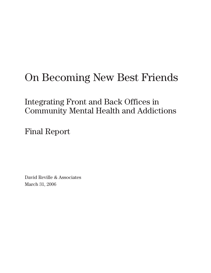# On Becoming New Best Friends

Integrating Front and Back Offices in Community Mental Health and Addictions

Final Report

David Reville & Associates March 31, 2006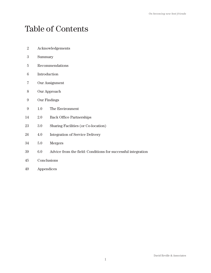## Table of Contents

- 2 Acknowledgements
- 3 Summary
- 5 Recommendations
- 6 Introduction
- 7 Our Assignment
- 8 Our Approach
- 9 Our Findings
- 9 1.0 The Environment
- 14 2.0 Back Office Partnerships
- 23 3.0 Sharing Facilities (or Co-location)
- 26 4.0 Integration of Service Delivery
- 34 5.0 Mergers
- 39 6.0 Advice from the field: Conditions for successful integration
- 45 Conclusions
- 49 Appendices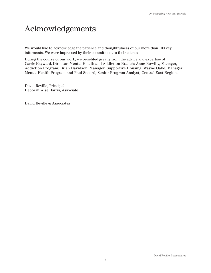## Acknowledgements

We would like to acknowledge the patience and thoughtfulness of our more than 100 key informants. We were impressed by their commitment to their clients.

During the course of our work, we benefited greatly from the advice and expertise of Carrie Hayward, Director, Mental Health and Addiction Branch; Anne Bowlby, Manager, Addiction Program; Brian Davidson, Manager, Supportive Housing; Wayne Oake, Manager, Mental Health Program and Paul Secord, Senior Program Analyst, Central East Region.

David Reville, Principal Deborah Wise Harris, Associate

David Reville & Associates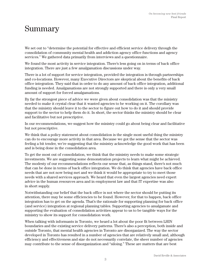## Summary

We set out to "determine the potential for effective and efficient service delivery through the consolidation of community mental health and addiction agency office functions and agency services." We gathered data primarily from interviews and a questionnaire.

We found the most activity in service integration. There's less going on in terms of back office integration. There are just a few amalgamation discussions under way.

There is a lot of support for service integration, provided the integration is through partnerships and co-locations. However, many Executive Directors are skeptical about the benefits of back office integration. They said that in order to do any amount of back office integration, additional funding is needed. Amalgamations are not strongly supported and there is only a very small amount of support for forced amalgamations.

By far the strongest piece of advice we were given about consolidation was that the ministry needed to make it crystal clear that it wanted agencies to be working on it. The corollary was that the ministry should leave it to the sector to figure out how to do it and should provide support to the sector to help them do it. In short, the sector thinks the ministry should be clear and facilitative but not prescriptive.

In our recommendations, we suggest how the ministry could go about being clear and facilitative but not prescriptive.

We think that a policy statement about consolidation is the single most useful thing the ministry can do to encourage more activity in that area. Because we got the sense that the sector was feeling a bit tender, we're suggesting that the ministry acknowledge the good work that has been and is being done in the consolidation area.

To get the most out of consolidation, we think that the ministry needs to make some strategic investments. We are suggesting some demonstration projects to learn what might be achieved. The modesty of our recommendations reflects our sense that, as things stand, there's not much that can be done in terms of back office integration. We do think that agencies have back office needs that are not now being met and we think it would be appropriate to try to meet those needs with a shared services approach. We heard that even the largest agencies need expert advice in the human resources area and in employment law and that IT expertise was also in short supply.

Notwithstanding our belief that the back office is not where the sector should be putting its attention, there may be some efficiencies to be found. However, for that to happen, back office integration has to get on the agenda. That's the rationale for supporting planning for back office (and service) integration at regional planning tables. Supporting agencies to amalgamate and supporting the evaluation of consolidation activities appear to us to be tangible ways for the ministry to show its support for consolidation work.

When talking with informants in Toronto, we heard a lot about the poor fit between LHIN boundaries and the existing service delivery patterns. There's also a perception, both inside and outside Toronto, that mental health agencies in Toronto are disorganized. The way the sector developed in Toronto has resulted in a number of agencies that are relatively small and, although efficiency and effectiveness and size do not necessarily correlate, the sheer number of agencies may contribute to the sense of disorganization and "siloing." These are matters that are best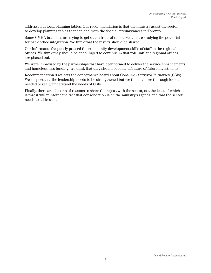addressed at local planning tables. Our recommendation is that the ministry assist the sector to develop planning tables that can deal with the special circumstances in Toronto.

Some CMHA branches are trying to get out in front of the curve and are studying the potential for back office integration. We think that the results should be shared.

Our informants frequently praised the community development skills of staff in the regional offices. We think they should be encouraged to continue in that role until the regional offices are phased out.

We were impressed by the partnerships that have been formed to deliver the service enhancements and homelessness funding. We think that they should become a feature of future investments.

Recommendation 9 reflects the concerns we heard about Consumer Survivor Initiatives (CSIs). We suspect that the leadership needs to be strengthened but we think a more thorough look is needed to really understand the needs of CSIs.

Finally, there are all sorts of reasons to share the report with the sector, not the least of which is that it will reinforce the fact that consolidation is on the ministry's agenda and that the sector needs to address it.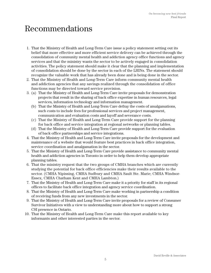## Recommendations

- 1. That the Ministry of Health and Long-Term Care issue a policy statement setting out its belief that more effective and more efficient service delivery can be achieved through the consolidation of community mental health and addiction agency office functions and agency services and that the ministry wants the sector to be actively engaged in consolidation activities. The policy statement should make it clear that the planning and implementation of consolidation should be done by the sector in each of the LHINs. The statement should recognize the valuable work that has already been done and is being done in the sector.
- 2. That the Ministry of Health and Long-Term Care inform community mental health and addiction agencies that any savings realized through the consolidation of office functions may be directed toward service provision.
- 3. (a) That the Ministry of Health and Long-Term Care invite proposals for demonstration projects that result in the sharing of back office expertise in human resources, legal services, information technology and information management.
	- (b) That the Ministry of Health and Long-Term Care defray the costs of amalgamations, such costs to include fees for professional services and project management, communication and evaluation costs and layoff and severance costs.
	- (c) That the Ministry of Health and Long-Term Care provide support for the planning for back office and service integration at regional networks or planning tables.
	- (d) That the Ministry of Health and Long-Term Care provide support for the evaluation of back office partnerships and service integrations.
- 4. That the Ministry of Health and Long-Term Care invite proposals for the development and maintenance of a website that would feature best practices in back office integration, service coordination and amalgamation in the sector.
- 5. That the Ministry of Health and Long-Term Care provide assistance to community mental health and addiction agencies in Toronto in order to help them develop appropriate planning tables.
- 6. That the ministry request that the two groups of CMHA branches which are currently studying the potential for back office efficiencies make their results available to the sector. (CMHA Nipissing, CMHA Sudbury and CMHA Sault Ste. Marie; CMHA Windsor-Essex, CMHA Chatham Kent and CMHA Lambton.)
- 7. That the Ministry of Health and Long-Term Care make it a priority for staff in its regional offices to facilitate back office integration and agency service coordination.
- 8. That the Ministry of Health and Long-Term Care make working in partnership a condition of receiving funds from any new investments in the sector.
- 9. That the Ministry of Health and Long-Term Care invite proposals for a review of Consumer Survivor Initiatives with a view to understanding more about how to support a strong CSI presence in Ontario.
- 10. That the Ministry of Health and Long-Term Care make this report available to key informants and other interested parties in the sector.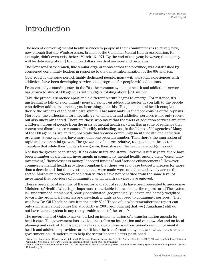## Introduction

The idea of delivering mental health services to people in their communities is relatively new, new enough that the Windsor-Essex branch of the Canadian Mental Health Association, for example, didn't even exist before March 16, l971. By the end of this year, however, that agency will be delivering about \$10 million dollars worth of services and programs.

The Windsor-Essex branch, like similar organizations across the province, was established by concerned community leaders in response to the deinstitutionalization of the 60s and 70s.

Over roughly the same period, highly dedicated people, many with personal experiences with addiction, have been developing services and programs for people with addictions.

From virtually a standing start in the 70s, the community mental health and addictions sector has grown to almost 500 agencies with budgets totaling about \$670 million.

Take the previous sentence apart and a different picture begins to emerge. For instance, it's misleading to talk of a community mental health *and* addictions sector. If you talk to the people who deliver addiction services, you hear things like this: "People in mental health complain they're the orphans of the health care system. That must make us the poor cousins of the orphans." Moreover, the enthusiasm for integrating mental health and addiction services is not only recent but also unevenly shared. There are those who insist that the users of addiction services are quite a different group of people from the users of mental health services, this in spite of evidence that concurrent disorders are common. Possibly misleading, too, is the "almost 500 agencies." Many of the 500 agencies are, in fact, hospitals that sponsor community mental health and addiction programs. Some agencies have more than one program number. Then there's the impression of rapid and exponential growth. The growth is, of course, relative, too; people in the sector complain that while their budgets have grown, their share of the health care budget has not.

Nor has the growth been steady. It has come in fits and starts. Over the last few years, there have been a number of significant investments in community mental health, among them "community investment," "homelessness money," "accord funding" and "service enhancements." However, community mental health providers complain that there were no base budget increases for more than a decade and that the investments that were made were not allocated evenly across the sector. Moreover, providers of addiction services have not benefited from the same level of investment that providers of community mental health services have enjoyed.

There's been a lot of scrutiny of the sector and a lot of reports have been presented to successive Ministers of Health. What is perhaps most remarkable is how similar the reports are. [The system is] "underfunded, unplanned, poorly coordinated, geographically uneven and heavily weighted toward the provincial hospitals and psychiatric units as opposed to community services." That was how Dr. Gil Heseltine saw it in the early 80s.1 Those of us who remember that report can only sigh when along comes Senator Kirby in 2004 pronouncing that we (Canadians) still do not have "a real system in any recognizable sense of the term."2

The government of Ontario has embarked on implementation of a transformation agenda for health care. The government has a vision that relies on integration and on networks and on local planning and control. In this paper, we take a look at how well positioned community mental health and addictions providers are to fit into the transformation agenda and what measures the government could undertake to help the sector become better positioned.

<sup>1</sup> Towards a Blueprint for Change; A Mental Health Policy and Program Perspective" (1983). And see Reville, D. (2005) "Mental Health Reform: Tilting at Windmills" Canadian Public Policy Special Electronic Supplement, Queen's University.<br><sup>2 "</sup>Mental Health Reform for Canada in the 21st Century: Getting There From Here" (2005). Canadian Public Policy Special Electronic Supp

University, p.S8.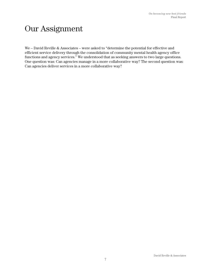## Our Assignment

We – David Reville & Associates – were asked to "determine the potential for effective and efficient service delivery through the consolidation of community mental health agency office functions and agency services." We understood that as seeking answers to two large questions. One question was: Can agencies manage in a more collaborative way? The second question was: Can agencies deliver services in a more collaborative way?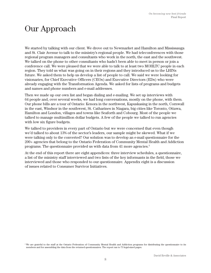## Our Approach

We started by talking with our client. We drove out to Newmarket and Hamilton and Mississauga and St. Clair Avenue to talk to the ministry's regional people. We had teleconferences with those regional program managers and consultants who work in the north, the east and the southwest. We talked on the phone to other consultants who hadn't been able to meet in person or join a conference call. We were pleased that we were able to talk to at least two MOHLTC people in each region. They told us what was going on in their regions and they introduced us to the LHINs future. We asked them to help us develop a list of people to call. We said we were looking for visionaries, for Chief Executive Officers (CEOs) and Executive Directors (EDs) who were already engaging with the Transformation Agenda. We asked for lists of programs and budgets and names and phone numbers and e-mail addresses.

Then we made up our own list and began dialing and e-mailing. We set up interviews with 64 people and, over several weeks, we had long conversations, mostly on the phone, with them. Our phone bills are a tour of Ontario: Kenora in the northwest, Kapuskasing in the north, Cornwall in the east, Windsor in the southwest, St. Catharines in Niagara, big cities like Toronto, Ottawa, Hamilton and London, villages and towns like Seaforth and Cobourg. Most of the people we talked to manage multimillion dollar budgets. A few of the people we talked to run agencies with low six figure budgets.

We talked to providers in every part of Ontario but we were concerned that even though we'd talked to about 13% of the sector's leaders, our sample might be skewed. What if we were talking only to the converted? Our solution was to develop an e-mail questionnaire for the 200+ agencies that belong to the Ontario Federation of Community Mental Health and Addiction programs. The questionnaire provided us with data from 41 more agencies.3

At the end of this report there are eight appendices: three interview schedules, a questionnaire, a list of the ministry staff interviewed and two lists of the key informants in the field, those we interviewed and those who responded to our questionnaire. Appendix eight is a discussion of issues related to Consumer Survivor Initiatives.

 $3$  We are grateful to the staff at the Ontario Federation of Community Mental Health and Addiction programs for distributing the questionnaire to its members and for assembling the data from the returned questionnaires. The report ran to 73 legal-sized pages.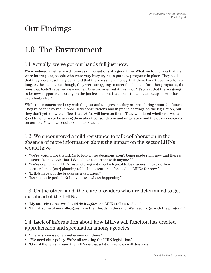## Our Findings

## 1.0 The Environment

## 1.1 Actually, we've got our hands full just now.

We wondered whether we'd come asking questions at a good time. What we found was that we were interrupting people who were very busy trying to put new programs in place. They said that they were absolutely delighted that there was new money, that there hadn't been any for so long. At the same time, though, they were struggling to meet the demand for other programs, the ones that hadn't received new money. One provider put it this way: "It's great that there's going to be new supportive housing on the justice side but that doesn't make the lineup shorter for everybody else."

While our contacts are busy with the past and the present, they are wondering about the future. They've been involved in pre-LHINs consultations and in public hearings on the legislation, but they don't yet know the effect that LHINs will have on them. They wondered whether it was a good time for us to be asking them about consolidation and integration and the other questions on our list. Maybe we could come back later?

#### 1.2 We encountered a mild resistance to talk collaboration in the absence of more information about the impact on the sector LHINs would have.

- "We're waiting for the LHINs to kick in, so decisions aren't being made right now and there's a sense from people that 'I don't have to partner with anyone.' "
- "We're coping with LHIN restructuring it may be logical to be discussing back office partnership at [our] planning table, but attention is focused on LHINs for now."
- "LHINs have put the brakes on integration."
- "It's a chaotic period. Nobody knows what's happening."

#### 1.3 On the other hand, there are providers who are determined to get out ahead of the LHINs.

- "My attitude is that we should do it *before* the LHINs tell us to do it."
- "I think some of my colleagues have their heads in the sand. We need to get with the program."

#### 1.4 Lack of information about how LHINs will function has created apprehension and speculation among agencies.

- "There is a sense of apprehension out there."
- "We need clear policy. We're all awaiting the LHIN legislation."
- "One of the fears around the LHINs is that a lot of agencies will disappear."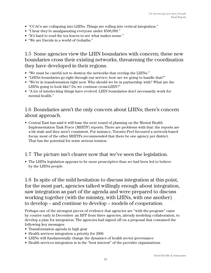- "CCACs are collapsing into LHINs. Things are rolling into vertical integration."
- "I hear they're amalgamating everyone under \$500,000."
- "It's hard to read the tea leaves to see what makes sense."
- "We are Davids in a world of Goliaths."

1.5 Some agencies view the LHIN boundaries with concern; these new boundaries cross their existing networks, threatening the coordination they have developed in their regions.

- "We must be careful not to destroy the networks that overlap the LHINs."
- "LHINs boundaries go right through our service; how are we going to handle that?"
- "We're in transformation right now. Who should we be in partnership with? What are the LHINs going to look like? Do we continue cross-LHIN?"
- "A lot of interlocking things have evolved. LHIN boundaries don't necessarily work for mental health."

#### 1.6 Boundaries aren't the only concern about LHINs; there's concern about approach.

• Central East has said it will base the next round of planning on the Mental Health Implementation Task Force (MHITF) reports. There are problems with that: the reports are a bit stale and they aren't consistent. For instance, Toronto-Peel favoured a network-based focus; most of the other MHITFs recommended that there be one agency per district. That has the potential for some serious tension.

#### 1.7 The picture isn't clearer now that we've seen the legislation.

• The LHINs legislation appears to be more proscriptive than we had been led to believe by the LHINs people.

1.8 In spite of the mild hesitation to discuss integration at this point, for the most part, agencies talked willingly enough about integration, saw integration as part of the agenda and were prepared to discuss working together (with the ministry, with LHINs, with one another) to develop – and continue to develop – models of cooperation.

Perhaps one of the strongest pieces of evidence that agencies are "with the program" came by courier early in December: an RFP from three agencies, already modeling collaboration, to develop a plan for integration. The agencies had signed off on a proposal that contained the following key messages:

- Transformation agenda in high gear
- Health services integration a priority for 2006
- LHINs will fundamentally change the dynamics of health sector governance
- Health services integration is in the "best interest" of the provider organizations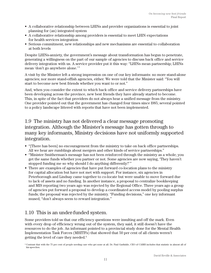- A collaborative relationship between LHINs and provider organizations is essential to joint planning for (an) integrated system
- A collaborative relationship among providers is essential to meet LHIN expectations for health services integration
- Serious commitment, new relationships and new mechanisms are essential to collaboration at both levels

Despite LHINs-anxiety, the government's message about transformation has begun to penetrate, generating a willingness on the part of our sample of agencies to discuss back office and service delivery integration with us. A service provider put it this way: "LHINs mean partnership; LHINs mean 'don't go anywhere alone.' "

A visit by the Minister left a strong impression on one of our key informants: no more stand-alone agencies; nor more stand-offish agencies, either. We were told that the Minister said: "You will start to become new best friends whether you want to or not."

And, when you consider the extent to which back office and service delivery partnerships have been developing across the province, new best friends they have already started to become. This, in spite of the fact that providers do not always hear a unified message from the ministry. One provider pointed out that the government has changed four times since l985; several pointed to a policy landscape littered with reports that have not been implemented.

### 1.9 The ministry has not delivered a clear message promoting integration. Although the Minister's message has gotten through to many key informants, Ministry decisions have not uniformly supported integration.

- "[There has been] no encouragement from the ministry to take on back office partnerships. All we hear are rumblings about mergers and other kinds of service partnerships."
- "Minister Smitherman's message has not been reinforced through the ministry as a whole; you get the same funds whether you partner or not. Some agencies are now saying, 'They haven't stopped funding me so why should I do anything differently?' "
- There are examples of agencies that have put forward co-location plans to the ministry for capital allocation but have not met with support. For instance, six agencies in Peterborough and Lindsay came together to co-locate but were unable to move forward due to lack of assets and no funding. In another instance, a proposal to centralize bookkeeping and MIS reporting two years ago was rejected by the Regional Office. Three years ago a group of agencies put forward a proposal to develop a coordinated access model by pooling surplus funds; the proposal was rejected by the ministry. "Funding decisions," one key informant mused, "don't always seem to reward integration."

## 1.10 This is an under-funded system.

Some providers told us that our efficiency questions were insulting and off the mark. Even with every drop of efficiency wrung out of the system, they said, it still doesn't have the resources to do the job. An informant pointed to a provincial study done for the Mental Health Implementation Task Forces (MHITFs) that showed that 50 per cent of all clients weren't getting the level of care they needed.4

<sup>&</sup>lt;sup>4</sup> Contrast that with the 75 per cent of people needing care who get none at all. Dr. Paul Garfinkle, CEO of CAMH includes that statistic in almost all of his speeches.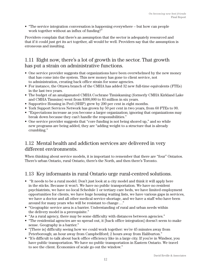• "The service integration conversation is happening everywhere – but how can people work together without an influx of funding?"

Providers complain that there's an assumption that the sector is adequately resourced and that if it could just get its act together, all would be well. Providers say that the assumption is erroneous and insulting.

## 1.11 Right now, there's a lot of growth in the sector. That growth has put a strain on administrative functions.

- One service provider suggests that organizations have been overwhelmed by the new money that has come into the system. This new money has gone to client service, not to administration, creating back office strain for some agencies.
- For instance, the Ottawa branch of the CMHA has added 32 new full-time equivalents (FTEs) in the last two years.
- The budget of an amalgamated CMHA Cochrane Timiskaming (formerly CMHA Kirkland Lake and CMHA Timmins) went from \$300,000 to \$3 million in six years.
- Supportive Housing in Peel (SHIP) grew by 200 per cent in eight months.
- York Support Services Network has grown by 50 per cent in two years, from 60 FTEs to 90.
- "Expectations increase as you become a larger organization; ignoring that organizations may break down because they can't handle the responsibilities."
- One service provider suggests that "core funding is not being shored up," and so while new programs are being added, they are "adding weight to a structure that is already crumbling."

#### 1.12 Mental health and addiction services are delivered in very different environments.

When thinking about service models, it is important to remember that there are "four" Ontarios. There's urban Ontario, rural Ontario, there's the North, and then there's Toronto.

## 1.13 Key informants in rural Ontario urge rural-centred solutions.

- "It needs to be a rural model. Don't just look at a city model and think it will apply here in the sticks. Because it won't. We have no public transportation. We have no resident psychiatrists, we have no local Schedule 1 or tertiary care beds, we have limited employment opportunities for clients, we have huge housing waiting lists, we have various gaps in services, we have a doctor and all other medical service shortage, and we have a staff who have been around for many years who will be resistant to change . . ."
- "Geographic service area is a barrier. Understanding of rural and urban needs within the delivery model is a prerequisite."
- "As a rural agency, there may be some difficulty with distances between agencies."
- "The residential agencies are so spread out, it [back office integration] doesn't seem to make sense. Geography is a barrier."
- "[There is] difficulty seeing how we could work together: we're 45 minutes away from Peterborough; an hour away from Campbellford; 2 hours away from Haliburton."
- "It's difficult to talk about back office efficiency like in a large city. If you're in Windsor, you have public transportation. We have no public transportation in Eastern Ontario. We travel to see the client. Economies of scale go out the window."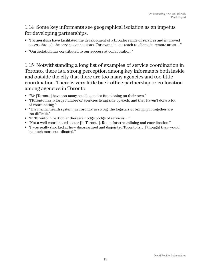### 1.14 Some key informants see geographical isolation as an impetus for developing partnerships.

- "Partnerships have facilitated the development of a broader range of services and improved access through the service connections. For example, outreach to clients in remote areas . . ."
- "Our isolation has contributed to our success at collaboration."

1.15 Notwithstanding a long list of examples of service coordination in Toronto, there is a strong perception among key informants both inside and outside the city that there are too many agencies and too little coordination. There is very little back office partnership or co-location among agencies in Toronto.

- "We [Toronto] have too many small agencies functioning on their own."
- "[Toronto has] a large number of agencies living side by each, and they haven't done a lot of coordinating."
- "The mental health system [in Toronto] is so big, the logistics of bringing it together are too difficult."
- "In Toronto in particular there's a hodge podge of services . . ."
- "Not a well coordinated sector [in Toronto]. Room for streamlining and coordination."
- "I was really shocked at how disorganized and disjointed Toronto is . . . I thought they would be much more coordinated."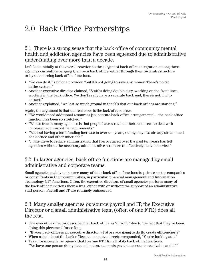## 2.0 Back Office Partnerships

2.1 There is a strong sense that the back office of community mental health and addiction agencies have been squeezed due to administrative under-funding over more than a decade.

Let's look initially at the overall reaction to the subject of back office integration among those agencies currently managing their own back office, either through their own infrastructure or by outsourcing back office functions.

- "We can do it," said one provider, "but it's not going to save any money. There's no fat in the system."
- Another executive director claimed, "Staff is doing double duty, working on the front lines, working in the back office. We don't really have a separate back end, there's nothing to extract."
- Another explained, "we lost so much ground in the 90s that our back offices are starving."

Again, the argument is that the real issue is the lack of resources.

- "We would need additional resources [to institute back office arrangements] the back office function has been so stretched."
- "What's true in many agencies is that people have stretched their resources to deal with increased administrative requirements."
- "Without having a base funding increase in over ten years, our agency has already streamlined back office and other functions."
- ". . . the drive to reduce administration that has occurred over the past ten years has left agencies without the necessary administrative structure to effectively deliver service."

#### 2.2 In larger agencies, back office functions are managed by small administrative and corporate teams.

Small agencies mainly outsource many of their back office functions to private sector companies or consultants in their communities, in particular, financial management and Information Technology (IT) functions. Often, the executive directors of small agencies perform many of the back office functions themselves, either with or without the support of an administrative staff person. Payroll and IT are routinely outsourced.

#### 2.3 Many smaller agencies outsource payroll and IT; the Executive Director or a small administrative team (often of one FTE) does all the rest.

- One executive director described her back office as "chaotic" due to the fact that they've been doing this piecemeal for so long.
- "If your back office is an executive director, what are you going to do [to create efficiencies]?"
- When asked about the back office, an executive director responded, "You're looking at it."
- Take, for example, an agency that has one FTE for all of its back office functions. "We have one person doing data collection, accounts payable, accounts receivable and IT."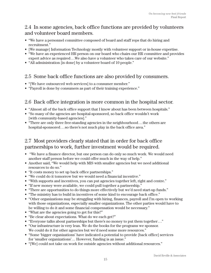### 2.4 In some agencies, back office functions are provided by volunteers and volunteer board members.

- "We have a personnel committee composed of board and staff reps that do hiring and recruitment."
- [We manage] Information Technology mostly with volunteer support or in-house expertise.
- "We have an experienced HR person on our board who chairs our HR committee and provides expert advice as required . . We also have a volunteer who takes care of our website."
- "All administration [is done] by a volunteer board of 10 people."

## 2.5 Some back office functions are also provided by consumers.

- "[We have outsourced web services] to a consumer member."
- "Payroll is done by consumers as part of their training experience."

## 2.6 Back office integration is more common in the hospital sector.

- "Almost all of the back office support that I know about has been between hospitals."
- "So many of the agencies are hospital-sponsored, so back office wouldn't work [with community-based agencies]."
- "There are only three free-standing agencies in the neighbourhood... the others are hospital-sponsored . . . so there's not much play in the back office area."

### 2.7 Most providers clearly stated that in order for back office partnerships to work, further investment would be required.

- "We have a finance director, but one person can do only so much work. We would need another staff person before we could offer much in the way of help."
- Another said, "We would help with MIS with smaller agencies but we need additional resources to do so."
- "It costs money to set up back office partnerships."
- "We could do it tomorrow but we would need a financial incentive."
- "With supports and incentives, you can put agencies together left, right and centre."
- "If new money were available, we could pull together a partnership."
- "There are opportunities to do things more effectively but we'd need start-up funds."
- "The ministry has to build in incentives of some kind to encourage back office."
- "Other organizations may be struggling with hiring, finances, payroll and I'm open to working with those organizations, especially smaller organizations. The other parties would have to be willing to do it and some financial compensation would be necessary."
- "What are the agencies going to get for this?"
- "Be clear about expectations. What do we each get?"
- "Everyone talks about partnerships but there's no money to put them together . . ."
- "Our infrastructure is very lean. We do the books for the programs we sponsor. We could do it for other agencies but we'd need some more resources."
- "Some 'bigger organizations' have indicated a potential to provide [back office] services for 'smaller organizations'… However, funding is an issue."
- "[We] could not take on work for outside agencies without additional resources."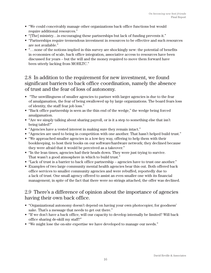- "We could conceivably manage other organizations back office functions but would require additional resources."
- "[The] ministry. . .is encouraging these partnerships but lack of funding prevents it."
- "Partnerships require tremendous investment in resources to be effective and such resources are not available."
- ". . . none of the notions implied in this survey are shockingly new: the potential of benefits in economies of scale, back office integration, associative access to resources have been discussed for years – but the will and the money required to move them forward have been utterly lacking from MOHLTC."

#### 2.8 In addition to the requirement for new investment, we found significant barriers to back office coordination, namely the absence of trust and the fear of loss of autonomy.

- "The unwillingness of smaller agencies to partner with larger agencies is due to the fear of amalgamation, the fear of being swallowed up by large organizations. The board fears loss of identity, the staff fear job loss."
- "Back office partnership is seen as the thin end of the wedge," the wedge being forced amalgamation.
- "Are we simply talking about sharing payroll, or is it a step to something else that isn't being tabled?"
- "Agencies have a vested interest in making sure they remain intact."
- "Agencies are used to being in competition with one another. That hasn't helped build trust."
- "We approached smaller agencies in a low-key way, offering to help them with their bookkeeping, to host their books on our software/hardware network; they declined because they were afraid that it would be perceived as a takeover."
- "In the lean times, agencies had their heads down. They were just trying to survive. That wasn't a good atmosphere in which to build trust."
- "Lack of trust is a barrier to back office partnership agencies have to trust one another."
- Examples of two large community mental health agencies bear this out. Both offered back office services to smaller community agencies and were rebuffed, reportedly due to a lack of trust. One small agency offered to assist an even smaller one with its financial management; in spite of the fact that there were no strings attached, the offer was declined.

### 2.9 There's a difference of opinion about the importance of agencies having their own back office.

- "Organizational autonomy doesn't depend on having your own photocopier, for goodness' sake. That's a message that needs to get out there."
- "If we don't have a back office, will our capacity to develop internally be limited? Will back office sharing de-skill my staff?"
- "We might lose the on-site expertise we have developed to manage our needs."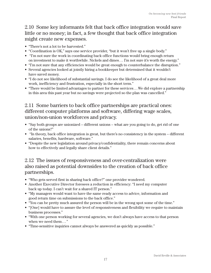## 2.10 Some key informants felt that back office integration would save little or no money; in fact, a few thought that back office integration might create new expenses.

- "There's not a lot to be harvested."
- "Coordination is OK," says one service provider, "but it won't free up a single body."
- "I'm not sure the work in coordinating back office functions would bring enough return on investment to make it worthwhile. Nickels and dimes . . . I'm not sure it's worth the energy."
- "I'm not sure that any efficiencies would be great enough to counterbalance the disruption."
- Several agencies looked at jointly hiring a bookkeeper but determined that it wouldn't have saved money.
- "I do not see likelihood of substantial savings. I do see the likelihood of a great deal more work, inefficiency and frustration, especially in the short term."
- "There would be limited advantages to partner for these services... We did explore a partnership in this area this past year but no savings were projected so the plan was cancelled."

## 2.11 Some barriers to back office partnerships are practical ones: different computer platforms and software, differing wage scales, union/non-union workforces and privacy.

- "Say both groups are unionized different unions what are you going to do, get rid of one of the unions?"
- "In theory, back office integration is great, but there's no consistency in the system different salaries, benefits, hardware, software."
- "Despite the new legislation around privacy/confidentiality, there remain concerns about how to effectively and legally share client details."

#### 2.12 The issues of responsiveness and over-centralization were also raised as potential downsides to the creation of back office partnerships.

- "Who gets served first in sharing back office?" one provider wondered.
- Another Executive Director foresees a reduction in efficiency: "I need my computer back up today. I can't wait for a shared IT person."
- "My managers would want to have the same ready access to advice, information and good return time on submissions to the back office."
- "You can be pretty much assured the person will be in the wrong spot some of the time."
- "[One] would have to assure the level of responsiveness and flexibility we require to maintain business processes."
- "With one person working for several agencies, we don't always have access to that person when we need them ..."
- "Time-sensitive inquiries cannot always be answered as quickly as possible."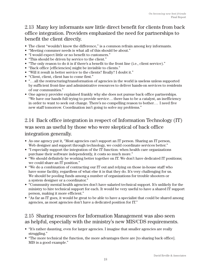## 2.13 Many key informants saw little direct benefit for clients from back office integration. Providers emphasized the need for partnerships to benefit the client directly.

- The client "wouldn't know the difference," is a common refrain among key informants.
- "Meeting consumer needs is what all of this should be about."
- "I would expect little or no benefit to customers."
- "This should be driven by service to the client."
- "The only reason to do it is if there's a benefit to the front line (i.e., client service)."
- "Back office [efficiencies] might be invisible to clients."
- "Will it result in better service to the clients? Really? I doubt it."
- "Client, client, client has to come first."
- "... all the restructuring/transformation of agencies in the world is useless unless supported by sufficient front-line and administrative resources to deliver hands-on services to residents of our communities."
- One agency provider explained frankly why she does not pursue back office partnerships. "We have our hands full trying to provide service . . . there has to be a catalyst, an inefficiency in order to want to seek out change. There's no compelling reason to bother . . . I need five new staff tomorrow. Coordination isn't going to solve my problems."

## 2.14 Back office integration in respect of Information Technology (IT) was seen as useful by those who were skeptical of back office integration generally.

- As one agency put it, "Most agencies can't support an IT person. Sharing an IT person, Web designer and support through technology, we could coordinate services better."
- "I especially support the integration of the IT function: when health care organizations purchase their software independently, it costs so much more."
- "We should definitely be working better together on IT. We don't have dedicated IT positions; we could share an IT position."
- "We do a combination of contracting our IT out and relying on those in-house staff who have some facility, regardless of what else it is that they do. It's very challenging for us. We should be pooling funds among a number of organizations for trouble shooters or a system designer or a coordinator."
- "Community mental health agencies don't have salaried technical support. It's unlikely for the ministry to hire technical support for each. It would be very useful to have a shared IT support person, making it more efficient."
- "As far as IT goes, it would be great to be able to have a specialist that could be shared among agencies, as most agencies don't have a dedicated position for IT."

### 2.15 Sharing resources for Information Management was also seen as helpful, especially with the ministry's new MIS/CDS requirements.

- "It's rather daunting, even for larger agencies. I imagine that smaller agencies are really struggling."
- "The more technical the function, the more advantages there are [to sharing back office]. MIS is a good example."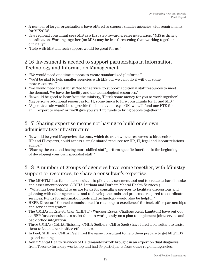- A number of larger organizations have offered to support smaller agencies with requirements for MIS/CDS.
- One regional consultant sees MIS as a first step toward greater integration: "MIS is driving coordination. Working together (on MIS) may be less threatening than working together clinically."
- "Help with MIS and tech support would be great for us."

#### 2.16 Investment is needed to support partnerships in Information Technology and Information Management.

- "We would need one-time support to create standardized platforms."
- "We'd be glad to help smaller agencies with MIS but we can't do it without some more resources."
- "We would need to establish 'fee for service' to support additional staff resources to meet the demand. We have the facility and the technological resources."
- "It would be good to hear from the ministry, 'Here's some money for you to work together.' Maybe some additional resources for IT, some funds to hire consultants for IT and MIS."
- "A positive role would be to provide the incentives e.g., 'OK, we will fund one FTE for an IT expert to share' or 'we'll give you start up funds to bring people together.' "

### 2.17 Sharing expertise means not having to build one's own administrative infrastructure.

- "It would be great if agencies like ours, which do not have the resources to hire senior HR and IT experts, could access a single shared resource for HR, IT, legal and labour relations advice."
- "Sharing the cost and having more skilled staff perform specific functions is the beginning of developing your own specialist staff."

### 2.18 A number of groups of agencies have come together, with Ministry support or resources, to share a consultant's expertise.

- The MOHTLC has funded a consultant to pilot an assessment tool and to create a shared intake and assessment process. (CMHA Durham and Durham Mental Health Services.)
- "What has been helpful to us are funds for consulting services to facilitate discussions and planning with other agencies . . . and to develop the tools and processes required to coordinate services. Funds for information tools and technology would also be helpful."
- HKPR Directors' Council commissioned "a roadmap to excellence" for back office partnerships and service integration.
- The CMHAs in Erie-St. Clair (LHIN 1) (Windsor Essex, Chatham Kent, Lambton) have put out an RFP for a consultant to assist them to work jointly on a plan to implement joint service and back office integration.
- Three CMHAs (CMHA Nipissing; CMHA Sudbury; CMHA Sault) have hired a consultant to assist them to look at back office efficiencies.
- In Peel, SHIP and CMHA Peel hired the same consultant to help them prepare to get MIS/CDS up and running.
- Adult Mental Health Services of Haldimand-Norfolk brought in an expert on dual diagnosis from Toronto for a day workshop and had 39 participants from other regional agencies.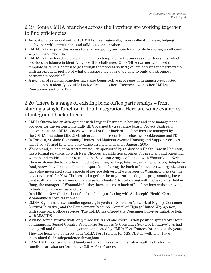## 2.19 Some CMHA branches across the Province are working together to find efficiencies.

- As part of a provincial network, CMHAs meet regionally, cross-pollinating ideas, helping each other with recruitment and talking to one another.
- CMHA Ontario provides access to legal and policy services for all of its branches, an efficient way to share services.
- CMHA Ontario has developed an evaluation template for the success of partnerships, which provides assistance in identifying possible challenges. One CMHA partner who used the template said "It is helpful to go through the process so that you are entering the partnership with an excellent picture of what the issues may be and are able to build the strongest partnership possible."
- A number of regional branches have also begun active processes with ministry-supported consultants to identify possible back office and other efficiencies with other CMHAs. (See above, section 2.18.)

#### 2.20 There is a range of existing back office partnerships – from sharing a single function to total integration. Here are some examples of integrated back offices.

- CMHA Ottawa has an arrangement with Project Upstream, a housing and case management provider for the seriously mentally ill. Governed by a separate board, Project Upstream co-locates at the CMHA offices, where all of their back office functions are managed by the CMHA, including MIS/CDS, integrated client records, purchasing, bookkeeping and IT.
- In Toronto, St. Jude Community Homes and Madison Avenue Housing and Support Services have had a formal financial back office arrangement, since January 2005.
- Womankind, an addiction treatment facility, sponsored by St. Joseph's Health Care in Hamilton, has a formal relationship with New Choices, an addiction program for pregnant and parenting women and children under 6, run by the Salvation Army. Co-located with Womankind, New Choices shares the back office including supplies, parking, Internet; e-mail, photocopy, telephone; food, snow shoveling and cleaning. Apart from sharing the back office, these two organizations have also integrated some aspects of service delivery. The manager of Womankind sits on the advisory board for New Choices and together the organizations do joint programming, have joint staff, and have a common database for clients. "By co-locating with us," explains Debbie Bang, the manager of Womankind, "they have access to back office functions without having to build their own infrastructure."

In addition, New Choices benefits from bulk purchasing with St. Joseph's Health Care, Womankind's hospital sponsor.

- CMHA Elgin assists two smaller agencies, Psychiatric Survivors Network of Elgin (a Consumer Survivor Initiative) and the Bereavement Resource Council of Elgin (a United Way agency), with some back office services. The CMHA has offered the Consumer Survivor Initiative help with MIS/CDS.
- With no administrative staff, only three FTEs and one coordination position spread over four communities, Sunset Country Psychiatric Survivors (a Consumer Survivor Initiative) has had its payroll and financial management supported by CMHA Fort Frances for the past six years. They are hoping to contract with CMHA Fort Frances for MIS/CDS as well. They have maintained their independence throughout.
- CAN-HELP, a consumer and family initiative, has no administrative staff; its back office functions are also performed by CMHA Fort Frances.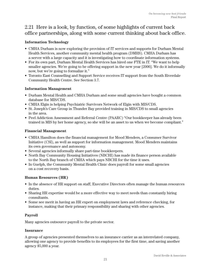#### 2.21 Here is a look, by function, of some highlights of current back office partnerships, along with some current thinking about back office.

#### **Information Technology**

- CMHA Durham is now exploring the provision of IT services and supports for Durham Mental Health Services, another community mental health program (DMHS). CMHA Durham has a server with a large capacity and it is investigating how to coordinate information systems.
- For its own part, Durham Mental Health Services has hired one FTE in IT. "We want to help smaller agencies. We're going to be offering support in the new year [2006]. We do it informally now, but we're going to formalize it."
- Toronto East Counselling and Support Service receives IT support from the South Riverdale Community Health Centre. See Section 3.7.

#### **Information Management**

- Durham Mental Health and CMHA Durham and some small agencies have bought a common database for MIS/CDS.
- CMHA Elgin is helping Psychiatric Survivors Network of Elgin with MIS/CDS.
- St. Joseph's Care Group in Thunder Bay provided training in MIS/CDS to small agencies in the area.
- Peel Addiction Assessment and Referral Centre (PAARC) "Our bookkeeper has already been trained in MIS by her home agency, so she will be an asset to us when we become compliant."

#### **Financial Management**

- CMHA Hamilton does the financial management for Mood Menders, a Consumer Survivor Initiative (CSI), as well as support for information management. Mood Menders maintains its own governance and autonomy.
- Several agencies informally share part-time bookkeepers.
- North Bay Community Housing Initiatives (NBCHI) has made its finance person available to the North Bay branch of CMHA which pays NBCHI for the time it uses.
- In Guelph, the Community Mental Health Clinic does payroll for some small agencies on a cost recovery basis.

#### **Human Resources (HR)**

- In the absence of HR support on staff, Executive Directors often manage the human resources duties.
- Sharing HR expertise would be a more effective way to meet needs than constantly hiring consultants.
- Some see merit in having an HR expert on employment laws and reference checking, for instance, making that their primary responsibility and sharing with other agencies.

#### **Payroll**

Many agencies outsource payroll to the private sector.

#### **Insurance**

A group of agencies presented themselves to an insurance carrier as an interrelated company, allowing one agency to provide benefits to its employees for the first time, and saving another agency \$5,000 a year.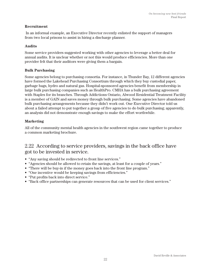#### **Recruitment**

 In an informal example, an Executive Director recently enlisted the support of managers from two local prisons to assist in hiring a discharge planner.

#### **Audits**

Some service providers suggested working with other agencies to leverage a better deal for annual audits. It is unclear whether or not this would produce efficiencies. More than one provider felt that their auditors were giving them a bargain.

#### **Bulk Purchasing**

Some agencies belong to purchasing consortia. For instance, in Thunder Bay, 12 different agencies have formed the Lakehead Purchasing Consortium through which they buy custodial paper, garbage bags, hydro and natural gas. Hospital-sponsored agencies benefit from membership in large bulk purchasing companies such as HealthPro. CMHA has a bulk purchasing agreement with Staples for its branches. Through Addictions Ontario, Alwood Residential Treatment Facility is a member of GAIN and saves money through bulk purchasing. Some agencies have abandoned bulk purchasing arrangements because they didn't work out. One Executive Director told us about a failed attempt to put together a group of five agencies to do bulk purchasing; apparently, an analysis did not demonstrate enough savings to make the effort worthwhile.

#### **Marketing**

All of the community mental health agencies in the southwest region came together to produce a common marketing brochure.

#### 2.22 According to service providers, savings in the back office have got to be invested in service.

- "Any saving should be redirected to front line services."
- "Agencies should be allowed to retain the savings, at least for a couple of years."
- "There will be buy-in if the money goes back into the front line program."
- "One incentive would be keeping savings from efficiencies."
- "Put profits back into direct service."
- "Back office partnerships can generate resources that can be used for client services."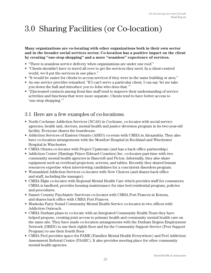## 3.0 Sharing Facilities (or Co-location)

**Many organizations are co-locating with other organizations both in their own sector and in the broader social services sector. Co-location has a positive impact on the client by creating "one-stop shopping" and a more "seamless" experience of services.** 

- "There is seamless service delivery when organizations are under one roof."
- "Clients shouldn't have to travel all over to get the services they need. In a client-centred world, we'd put the services in one place."
- "It would be easier for clients to access services if they were in the same building or area."
- As one service provider remarked, "If I can't serve a particular client, I can say 'let me take you down the hall and introduce you to John who does that.'"
- "[I]ncreased contacts among front-line staff tend to improve their understanding of service activities and functions that were more separate. Clients tend to have better access to 'one-stop shopping.' "

#### 3.1 Here are a few examples of co-locations.

- North Cochrane Addiction Services (NCAS) in Cochrane, co-locates with social service agencies, health unit, doctors, mental health and justice diversion program in its two-year-old facility. Everyone shares the boardroom.
- Addiction Services of Eastern Ontario (ASEO) co-rents with CMHA in Alexandria. They also have co-location arrangements with the Montfort Hospital in Rockland and Winchester Hospital in Winchester.
- CMHA Ottawa co-locates with Project Upstream (and has a back office partnership).
- Addiction Centre (Hastings Prince Edward Counties) Inc. co-locates part-time with two community mental health agencies in Bancroft and Picton. Informally, they also share equipment such as overhead projectors, screens, and tables. Recently they shared human resources expertise when interviewing candidates for a concurrent disorders program.
- Womankind Addiction Services co-locates with New Choices (and shares back office and staff, including the manager).
- CMHA Elgin co-locates with Regional Mental Health Care which provides staff for consumers; CMHA is landlord, provides housing maintenance for nine bed residential program, policies and procedures.
- Sunset Country Psychiatric Survivors co-locates with CMHA Fort Frances in Kenora, and shares back office with CMHA Fort Frances.
- Muskoka Parry Sound Community Mental Health Service co-locates in two offices with Addiction Outreach.
- CMHA Durham plans to co-locate with an Integrated Community Health Team they have helped propose, creating joint access to primary health and community mental health care on the same site. They have made co-location arrangements with the Durham Region Employment Network (DREN) to use their eighth floor and for the Community Support Service (Peer Support Program) to use their fourth floor.
- CMHA Peel provides space for FAME (Families Mental Health Everywhere) and Peel Addiction Assessment Referral Centre (PAARC). It also provides meeting place for other community mental health agencies.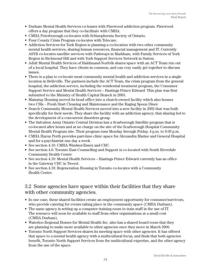- Durham Mental Health Services co-leases with Pinewood addiction program. Pinewood offers a day program that they co-facilitate with CMHA.
- CMHA Peterborough co-locates with Schizophrenia Society of Ontario.
- Four County Crisis Program co-locates with Telecare.
- Addiction Services for York Region is planning a co-location with two other community mental health services, sharing human resources, financial management and IT. Currently ASYR co-locates satellite services with Pathways in Markham, with Family Services of York Region in Richmond Hill and with York Support Services Network in Sutton.
- Adult Mental Health Services of Haldimand-Norfolk shares space with an ACT Team run out of a local hospital. They have clients in common, and can very easily get together to discuss issues.
- There is a plan to co-locate most community mental health and addiction services in a single location in Belleville. The partners include the ACT Team, the crisis program from the general hospital, the addiction service, including the residential treatment program, the Consumer Support Service and Mental Health Services – Hastings Prince Edward. This plan was first submitted to the Ministry of Health Capital Branch in 2003.
- Mainstay Housing moved its head office into a church-owned facility which also houses two CSIs – Fresh Start Cleaning and Maintenance and the Raging Spoon Diner.
- Search Community Mental Health Services moved into a new facility in 2002 that was built specifically for their needs. They share the facility with an addiction agency; that sharing led to the development of a concurrent disorders group.
- The Salvation Army Ontario Central Division has a Scarborough Satellite program that is co-located after hours and at no charge on the site of the Scarborough Hospital Community Mental Health Program site. Their program runs Monday through Friday, 4 p.m. to 9:30 p.m.
- CMHA Huron Perth provides part-time clinic space for Alexandra Marine and General Hospital and for a psychiatrist one day a week.
- See section 4.10: CMHA Windsor-Essex and CHC.
- See section 4.6: Toronto East Counselling and Support is co-located with South Riverdale Community Health Centre
- See section 4.10: Mental Health Services Hastings Prince Edward currently has an office in the Gateway CHC in Tweed.
- See section 4.10: Regeneration Housing in Toronto co-locates with a Community Health Centre.

#### 3.2 Some agencies have space within their facilities that they share with other community agencies.

- In one case, these shared facilities create an employment opportunity for consumer/survivors, who provide catering for events taking place in the community space (CMHA Durham).
- The same agency is setting up a computer training room to train staff in the use of IT. The resource will soon be available to staff from other organizations at a small cost (CMHA Durham).
- Waterloo Regional Homes for Mental Health Inc. also has a shared board room that they are planning to make more available to other agencies once they move in March 2006.
- Toronto North Support Services shares its meeting space with other agencies. It has offered that space to a mental health agency with a multicultural focus, and finds that both agencies benefit, Toronto North Support Services from the multicultural expertise, and the other agency from the use of the space.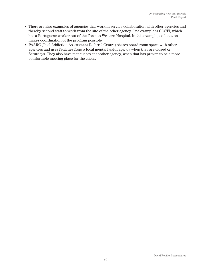- There are also examples of agencies that work in service collaboration with other agencies and thereby second staff to work from the site of the other agency. One example is COSTI, which has a Portuguese worker out of the Toronto Western Hospital. In this example, co-location makes coordination of the program possible.
- PAARC (Peel Addiction Assessment Referral Centre) shares board room space with other agencies and uses facilities from a local mental health agency when they are closed on Saturdays. They also have met clients at another agency, when that has proven to be a more comfortable meeting place for the client.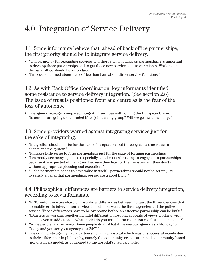## 4.0 Integration of Service Delivery

4.1 Some informants believe that, ahead of back office partnerships, the first priority should be to integrate service delivery.

- "There's money for expanding services and there's an emphasis on partnership; it's important to develop those partnerships and to get those new services out to our clients. Working on the back office should be secondary."
- "I'm less concerned about back office than I am about direct service functions."

4.2 As with Back Office Coordination, key informants identified some resistance to service delivery integration. (See section 2.8) The issue of trust is positioned front and centre as is the fear of the loss of autonomy.

• One agency manager compared integrating services with joining the European Union. "Is our culture going to be eroded if we join this big group? Will we get swallowed up?"

## 4.3 Some providers warned against integrating services just for the sake of integrating.

- "Integration should not be for the sake of integration, but to recognize a true value to clients and the system."
- "It makes little sense to form partnerships just for the sake of forming partnerships."
- "I currently see many agencies (especially smaller ones) rushing to engage into partnerships because it is expected of them (and because they fear for their existence if they don't) without appropriate planning and execution."
- ". . . the partnership needs to have value in itself partnerships should not be set up just to satisfy a belief that partnerships, per se, are a good thing."

## 4.4 Philosophical differences are barriers to service delivery integration, according to key informants.

- "In Toronto, there are sharp philosophical differences between not just the three agencies that do mobile crisis intervention services but also between the three agencies and the police service. Those differences have to be overcome before an effective partnership can be built."
- "[Barriers to working together include] different philosophical points of views working with clients; even in addictions – what model do you use – harm reduction vs. abstinence models?"
- "Some people talk recovery. Some people do it. What if we see our agency as a Monday to Friday and you see your agency as a 24/7?"
- One community agency had a partnership with a hospital which was unsuccessful mainly due to their differences in philosophy, namely the community organization had a community-based (non-medical) model, as compared to the hospital's medical model.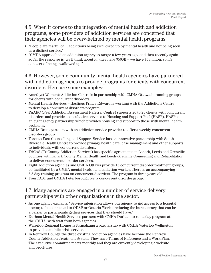### 4.5 When it comes to the integration of mental health and addiction programs, some providers of addiction services are concerned that their agencies will be overwhelmed by mental health programs.

- "People are fearful of... addictions being swallowed up by mental health and not being seen as a distinct service."
- "CMHA approached an addiction agency to merge a few years ago, and then recently again so far the response is 'we'll think about it'; they have \$500K – we have \$5 million; so it's a matter of being swallowed up."

#### 4.6 However, some community mental health agencies have partnered with addiction agencies to provide programs for clients with concurrent disorders. Here are some examples:

- Amethyst Women's Addiction Centre is in partnership with CMHA Ottawa in running groups for clients with concurrent disorders.
- Mental Health Services Hastings Prince Edward is working with the Addictions Centre to develop a concurrent disorders program.
- PAARC (Peel Addiction Assessment Referral Centre) supports 20 to 25 clients with concurrent disorders and provides consultative services to Housing and Support Peel (HASP). HASP is an eight agency partnership which provides housing and support to those with mental health problems.
- CMHA Brant partners with an addiction service provider to offer a weekly concurrent disorders group.
- Toronto East Counselling and Support Service has an innovative partnership with South Riverdale Health Centre to provide primary health care, case management and other supports to individuals with concurrent disorders.
- TriCAS (TriCounty Addiction Services) has specific agreements in Lanark, Leeds and Grenville counties with Lanark County Mental Health and Leeds-Grenville Counselling and Rehabilitation to deliver concurrent disorder services.
- Eight addiction agencies and CMHA Ottawa provide 15 concurrent disorder treatment groups, co-facilitated by a CMHA mental health and addiction worker. There is an accompanying 5.5 day training program on concurrent disorders. The program is three years old.
- FourCAST and CMHA Peterborough run a concurrent disorder group.

### 4.7 Many agencies are engaged in a number of service delivery partnerships with other organizations in the sector.

- As one agency explains, "Service integration allows our agency to get access to a hospital doctor, to be connected to ODSP or Ontario Works, reducing the bureaucracy that can be a barrier to participants getting services that they should have."
- Durham Mental Health Services partners with CMHA Durham to run a day program at the CMHA, with staff from both agencies.
- Waterloo Regional Homes is formalizing a partnership with CMHA Waterloo Wellington to provide a mobile crisis service.
- In Renfrew County, the three existing addiction agencies have become the Renfrew County Addiction Treatment System. They have Terms of Reference and a Work Plan. The executive committee meets monthly and they are currently developing a website and brochures.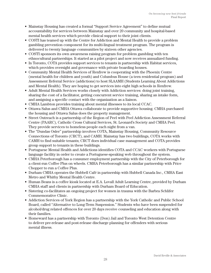- Mainstay Housing has created a formal "Support Service Agreement" to define mutual accountability for services between Mainstay and over 20 community and hospital-based mental health services which provide clinical support to their joint clients.
- COSTI has teamed up with the Centre for Addiction and Mental Health to provide a problem gambling prevention component for its multi-lingual treatment program. The program is delivered to twenty language communities by sixteen other agencies.
- COSTI sponsors its own awareness raising program for problem gambling with ten ethnocultural partnerships. It started as a pilot project and now receives annualized funding.
- In Toronto, COTA provides support services to tenants in partnership with Habitat services, which provides oversight and governance with private boarding houses.
- Community Mental Health Services of Renfrew is cooperating with the Phoenix Centre (mental health for children and youth) and Columbus House (a teen residential program) and Assessment Referral Service (addictions) to host SLAAMH (Students Learning About Addictions and Mental Health). They are hoping to get services into eight high schools in Renfrew.
- Adult Mental Health Services works closely with Addiction services: doing joint training, sharing the cost of a facilitator, getting concurrent service training, sharing an intake form, and assigning a specific contact with the organization as a liaison.
- CMHA Lambton provides training about mental illnesses to its local CCAC.
- Ottawa Salus and CMHA Ottawa collaborate to provide supportive housing. CMHA purchased the housing and Ottawa Salus does the property management.
- Street Outreach is a partnership of the Region of Peel with Peel Addiction Assessment Referral Centre (PAARC), Catholic Cross Cultural Services, St. Leonard's Society and CMHA Peel. They provide services to homeless people each night from a van.
- The "Dundas Osler" partnership involves COTA, Mainstay Housing, Community Resource Connections of Toronto (CRCT), and CAMH. Mainstay has two buildings, COTA works with CAMH to find suitable tenants; CRCT does individual case management and COTA provides group support to tenants in these buildings.
- Portuguese Mental Health and Addictions identifies COTA and CCAC workers with Portuguese language facility in order to create a Portuguese-speaking web throughout the system.
- CMHA Peterborough has a consumer employment partnership with the City of Peterborough for a client-run Coffee Plus on wheels. CMHA Peterborough has a similar partnership with Price Chopper to run a Coffee Plus.
- Durham CMHA operates the Hubbell Café in partnership with Hubbell Canada Inc., CMHA East Metro and Whitby Mental Health Centre.
- Human Beans is a coffee kiosk located at E.A. Lovall Adult Learning Centre, provided by Durham CMHA staff and clients in partnership with Durham Board of Education.
- Sistering co-facilitates an ongoing project for women in trauma with the Barbra Schlifer Commemorative Clinic.
- Addiction Services of York Region has a partnership with the York Catholic and Public School Board, called "Alternative to Long-Term Suspension." Students who have been suspended for alcohol/drug related offences for over 20 days receive counseling and education along with their families.
- Homeward has a partnership with Toronto (Don) Jail and Toronto West Detention Centre to deliver pre-release and post-release discharge planning for offenders with serious mental illness.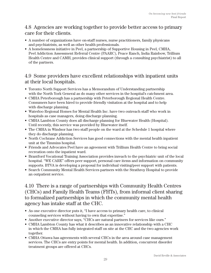### 4.8 Agencies are working together to provide better access to primary care for their clients.

- A number of organizations have on-staff nurses, nurse practitioners, family physicans and psychiatrists, as well as other health professionals.
- A homelessness initiative in Peel, a partnership of Supportive Housing in Peel, CMHA, Peel Addiction Assessment Referral Centre (PAARC), Peace Ranch, India Rainbow, Trillium Health Centre and CAMH, provides clinical support (through a consulting psychiatrist) to all of the partners.

## 4.9 Some providers have excellent relationships with inpatient units at their local hospitals.

- Toronto North Support Services has a Memorandum of Understanding partnership with the North York General as do many other services in the hospital's catchment area.
- CMHA Peterborough has a partnership with Peterborough Regional Health Centre. Consumers have been hired to provide friendly visitation at the hospital and to help with discharge planning.
- Waterloo Regional Homes for Mental Health Inc. have two outreach staff who work in hospitals as case managers, doing discharge planning.
- CMHA Lambton County does all discharge planning for Bluewater Health (Hospital). Until recently, this service was provided by Bluewater itself.
- The CMHA in Windsor has two staff people on the ward at the Schedule 1 hospital where they do discharge planning.
- North Cochrane Addiction Services has good connections with the mental health inpatient unit at the Timmins hospital.
- Friends and Advocates Peel have an agreement with Trillium Health Centre to bring social recreation onto the inpatient ward.
- Brantford Vocational Training Association provides inreach to the psychiatric unit of the local hospital. "WE CARE" offers peer support, personal care items and information on community supports. BTVA is developing a proposal for individual visiting/peer support with patients.
- Search Community Mental Health Services partners with the Strathroy Hospital to provide an outpatient service.

## 4.10 There is a range of partnerships with Community Health Centres (CHCs) and Family Health Teams (FHTs), from informal client sharing to formalized partnerships in which the community mental health agency has intake staff at the CHC.

- As one executive director puts it, "I have access to primary health care, to clinical counseling services without having to own that expertise."
- Another executive director says, "CHCs are natural partners for services like ours."
- CMHA Lambton County has what it describes as an innovative relationship with a CHC in which the CMHA has fully integrated staff on site at the CHC and the two agencies work together.
- CMHA Ottawa has agreements with several CHCs in the area around case management services. The CHCs are entry points for mental health. In addition, concurrent disorder treatment groups are offered at CHCs.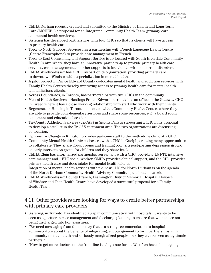- CMHA Durham recently created and submitted to the Ministry of Health and Long-Term Care (MOHLTC) a proposal for an Integrated Community Health Team (primary care and mental health services).
- Sistering has developed partnerships with four CHCs so that its clients will have access to primary health care.
- Toronto North Support Services has a partnership with French Language Health Centre (Centre Francophone) to provide case management in French.
- Toronto East Counselling and Support Service is co-located with South Riverdale Community Health Centre where they have an innovative partnership to provide primary health care services, case management and other supports to individuals with concurrent disorders.
- CMHA Windsor-Essex has a CHC as part of its organization, providing primary care to downtown Windsor with a specialization in mental health.
- A pilot project in Prince Edward County co-locates mental health and addiction services with Family Health Centres thereby improving access to primary health care for mental health and addictions clients.
- Across Boundaries, in Toronto, has partnerships with five CHCs in the community.
- Mental Health Services Hastings Prince Edward currently has an office in the Gateway CHC in Tweed where it has a close working relationship with staff who work with their clients.
- Regeneration Housing in Toronto co-locates with a Community Health Centre, where they are able to provide complementary services and share some resources, e.g., a board room, equipment and educational sessions.
- Tri-County Addiction Services (TriCAS) in Smiths Falls is supporting a CHC in its proposal to develop a satellite in the TriCAS catchment area. The two organizations are discussing co-location.
- Options for Change in Kingston provides part-time staff to the methadone clinic at a CHC.
- Community Mental Health Clinic co-locates with a CHC in Guelph, creating many opportunities to collaborate. They share group rooms and training rooms, a post-partum depression group, an early intervention group for children and they share intake.
- CMHA Elgin has a formalized partnership agreement with a CHC, providing 1.5 FTE intensive care manager and 1 FTE social worker. CMHA provides clinical support, and the CHC provides primary health care and does intake for mental health clients. Integration of mental health services with the new CHC for North Durham is on the agenda of the North Durham Community Health Advisory Committee, the local network.
- CMHA Windsor-Essex County Branch, Leamington District Memorial Hospital, Hospice of Windsor and Teen Health Centre have developed a successful proposal for a Family Health Team.

#### 4.11 Other providers are looking for ways to create better partnerships with primary care providers.

- Sistering, in Toronto, has identified a gap in communication with hospitals. It wants to be seen as a partner in case management and discharge planning to ensure that women are not being discharged into homelessness.
- "We need messaging from the ministry that is a strong recommendation to hospital administrators about the benefits of integrating; encouragement to form partnerships with community mental health and seriously marginalized people – so they can be seen as legitimate partners."
- "How to get more doctors on the front line is a big issue for us. We often have clients going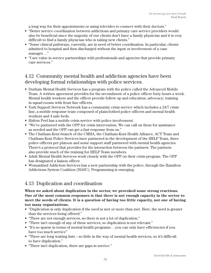a long way for their appointments or using televideo to connect with their doctors."

- "Better service coordination between addictions and primary care service providers would also be beneficial since the majority of our clients don't have a family physician and it is very difficult to find a family physician who is taking new clients."
- "Some clinical pathways, currently, are in need of better coordination. In particular, clients admitted to hospital and then discharged without the input or involvement of a case manager . . ."
- "I see value in service partnerships with professionals and agencies that provide primary care services."

## 4.12 Community mental health and addiction agencies have been developing formal relationships with police services.

- Durham Mental Health Services has a program with the police called the Advanced Mobile Team. A written agreement provides for the secondment of a police officer forty hours a week. Mental health workers and the officer provide follow up and education; advocacy; training in squad rooms with front line officers.
- York Support Services Network has a community crisis service which includes a 24/7 crisis line, a mobile response team composed of plainclothed police officers and mental health workers and 4 safe beds.
- Halton Peel has a mobile crisis service with police involvement.
- "We've partnered with the OPP for crisis intervention. We can call on them for assistance as needed and the OPP can get a fast response from us."
- The Chatham-Kent branch of the CMHA, the Chatham-Kent Health Alliance, ACT Team and Chatham-Kent Police Services have partnered in the development of the HELP Team, three police officers per platoon and some support staff partnered with mental health agencies. There's a protocol that provides for the interaction between the partners. The partners also provide much of the training for HELP Team members.
- Adult Mental Health Services work closely with the OPP on their crisis program. The OPP has designated a liaison officer.
- Womankind Addiction Services has a new partnership with the police, through the Hamilton Addictions System Coalition (HASC). Programming is emerging.

## 4.13 Duplication and coordination

**When we asked about duplication in the sector, we provoked some strong reactions. One of the most common responses is that there is not enough capacity in the sector to meet the needs of clients. It is a question of having too little capacity, not one of having too many organizations.** 

- "Duplication is only duplication if the need is met or more than met. Here, the need is greater than the services being offered."
- "There are not enough services, so there is not a lot of duplication."
- "There isn't enough of any of these services, so duplication is not relevant."
- "It's so sparse in terms of mental health programs . . . you can only have efficiencies if you have too much service"
- "There are long waiting lists so little in the way of mental health services, so it's difficult to have duplication."
- "There isn't duplication, there are gaps in service."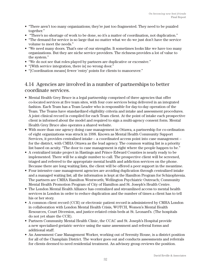- "There aren't too many organizations; they're just too fragmented. They need to be puzzled together."
- "There's no shortage of work to be done, so it's a matter of coordination, not duplication."
- "The demand for service is so large that no matter what we do we just don't have the service volume to meet the needs."
- "We need many doors. That's one of our strengths. It sometimes looks like we have too many organizations. But they are niche service providers. The richness provides a lot of value to the system."
- "We do not see that roles played by partners are duplicative or excessive."
- "[With service integration, there is] no wrong door."
- "[Coordination means] fewer 'entry' points for clients to manoeuver."

#### 4.14 Agencies are involved in a number of partnerships to better coordinate services.

- Mental Health Grey Bruce is a legal partnership comprised of three agencies that offer co-located services at five team sites, with four core services being delivered in an integrated fashion. Each Team has a Team Leader who is responsible for day-to-day operation of the Team. The Teams have standardized eligibility criteria and intake and assessment procedures. A joint clinical record is compiled for each Team client. At the point of intake each prospective client is informed about the model and required to sign a multi-agency consent form. Mental Health Grey Bruce also operates a shared website.
- With more than one agency doing case management in Ottawa, a partnership for co-ordination of eight organizations was struck in 1998. Known as Mental Health Community Support Services, it provides centralized intake – a coordinated access point into case management – for the district, with CMHA Ottawa as the lead agency. The common waiting list is a priority list based on acuity. "The door to case management is right where the people happen to be."
- A centralized intake project in Hastings and Prince Edward Counties is nearly ready to be implemented. There will be a single number to call. The prospective client will be screened, triaged and referred to the appropriate mental health and addiction services on the phone. Because there are long waiting lists, the client will be offered a peer support in the meantime.
- Four intensive case management agencies are avoiding duplication through centralized intake and a managed waiting list; all the information is kept at the Hamilton Program for Schizophrenia. The partners are CMHA Hamilton Wentworth; Wellington Psychiatric Outreach; Community Mental Health Promotion Program of City of Hamilton and St. Joseph's Health Centre.
- The London Mental Health Alliance has centralized and streamlined access to mental health services in London in order to reduce duplication and the number of times a client has to tell his or her story.
- A common client record (CCR) or electronic patient record is administered by CMHA London in collaboration with London Mental Health Crisis, WOTCH, Women's Mental Health Resources, Court Diversion, and justice-related crisis beds at St. Leonard's. (The hospitals do not yet share the CCR).
- Partners Community Mental Health Clinic, the CCAC and St. Joseph's Hospital provide a new specialized geriatric service using the same assessment and referral forms and additional staff.
- An Assessment Case Management Worker, working out of Serenity House, is a district position for all of the Champlain District. The worker goes out and conducts assessments and referrals for clients deemed to need residential treatment. An advisory group reviews the position.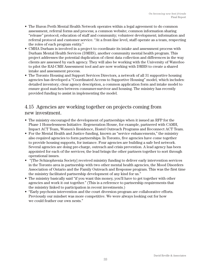- The Huron Perth Mental Health Network operates within a legal agreement to do common assessment, referral forms and process; a common website; common information sharing "release" protocol; education of staff and community; volunteer development; information and referral protocol and customer service. "At a front-line level, staff operate as a team, respecting the roles of each program entity."
- CMHA Durham is involved in a project to coordinate its intake and assessment process with Durham Mental Health Services (DMHS), another community mental health program. This project addresses the potential duplication of client data collection and differences in the way clients are assessed by each agency. They will also be working with the University of Waterloo to pilot the RAI-CMH Assessment tool and are now working with DMHS to create a shared intake and assessment process.
- The Toronto Housing and Support Services Directors, a network of all 31 supportive housing agencies has developed a "Coordinated Access to Supportive Housing" model, which includes: detailed inventory; clear agency description, a common application form and intake model to ensure good matches between consumer-survivor and housing. The ministry has recently provided funding to assist in implementing the model.

### 4.15 Agencies are working together on projects coming from new investment.

- The ministry encouraged the development of partnerships when it issued an RFP for the Phase 1 Homelessness Initiative. Regeneration House, for example, partnered with CAMH, Impact ACT Team, Women's Residence, Hostel Outreach Programs and Reconnect ACT Team.
- For the Mental Health and Justice funding, known as "service enhancements," the ministry also required agencies to form partnerships. In Toronto, five agencies have come together to provide housing supports, for instance. Four agencies are building a safe bed network. Several agencies are doing pre-charge, outreach and crisis prevention. A lead agency has been appointed for each of the services; the lead brings the other partners together to sort through operational issues.
- "[The Schizophrenia Society] received ministry funding to deliver early intervention services in the Toronto area in partnership with two other mental health agencies, the Mood Disorders Association of Ontario and the Family Outreach and Response program. This was the first time the ministry facilitated partnership development of any kind for us."
- The ministry basically said "if you want this money, you'll have to get together with other agencies and work it out together." (This is a reference to partnership requirements that the ministry linked to participation in recent investments.)
- "Early psychosis intervention and the court diversion program are collaborative efforts. Previously our mindset was more competitive. We were always looking out for how we could feather our own nests."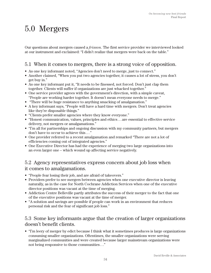## 5.0 Mergers

Our questions about mergers caused a *frisson.* The first service provider we interviewed looked at our instrument and exclaimed: "I didn't realize that mergers were back on the table."

## 5.1 When it comes to mergers, there is a strong voice of opposition.

- As one key informant noted, "Agencies don't need to merge, just to connect."
- Another claimed, "When you put two agencies together, it causes a lot of stress, you don't get buy in."
- As one key informant put it, "It needs to be finessed, not forced. Don't just clap them together. Clients will suffer if organizations are just whacked together."
- One service provider agrees with the government's direction, with a simple caveat, "People are working harder together. It doesn't mean everyone needs to merge."
- "There will be huge resistance to anything smacking of amalgamation."
- A key informant says, "People will have a hard time with mergers. Don't treat agencies like they're disposable things."
- "Clients prefer smaller agencies where they know everyone."
- "Honest communication, values, principles and ethics . . . are essential to effective service delivery, not mergers or amalgamations."
- "I'm all for partnerships and ongoing discussion with my community partners, but mergers don't have to occur to achieve this . . . "
- One provider referred to a recent amalgamation and remarked "There are not a lot of efficiencies coming out of integrated agencies."
- One Executive Director has had the experience of merging two large organizations into an even larger one – which wound up affecting service negatively.

#### 5.2 Agency representatives express concern about job loss when it comes to amalgamations.

- "People fear losing their job, and are afraid of takeovers."
- Providers prefer to see mergers between agencies when one executive director is leaving naturally, as in the case for North Cochrane Addiction Services when one of the executive director positions was vacant at the time of merging.
- Addiction Centre Belleville partly attributes the success of their merger to the fact that one of the executive positions was vacant at the time of merger.
- "A solution and savings are possible if people can work in an environment that reduces personal risk and the fear of significant job loss."

#### 5.3 Some key informants argue that the creation of larger organizations doesn't benefit clients.

• "I'm leery of merger by edict because I think what it sometimes produces is large organizations consuming smaller organizations. Oftentimes, the smaller organizations were serving marginalized communities and were created because larger mainstream organizations were not being responsive to those communities . . ."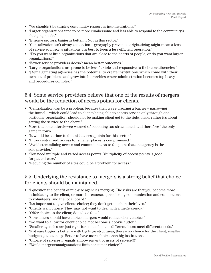- "We shouldn't be turning community resources into institutions."
- "Larger organizations tend to be more cumbersome and less able to respond to the community's changing needs."
- "In some sectors, bigger is better... Not in this sector."
- "Centralization isn't always an option geography prevents it; right sizing might mean a loss of service so in some situations, it's best to keep a less efficient operation."
- "Do you want little organizations that are close to the hearts of people, or do you want larger organizations?"
- "Fewer service providers doesn't mean better outcomes."
- "Larger organizations are prone to be less flexible and responsive to their constituencies."
- "[A]malgamating agencies has the potential to create institutions, which come with their own set of problems and grow into hierarchies where administration becomes top heavy and procedures complex."

### 5.4 Some service providers believe that one of the results of mergers would be the reduction of access points for clients.

- "Centralization can be a problem, because then we're creating a barrier narrowing the funnel – which could lead to clients being able to access service only through one particular organization; should not be making client get to the right place; rather it's about getting the service to the client."
- More than one interviewee warned of becoming too streamlined, and therefore "the only game in town."
- "It would be a crime to diminish access points for this sector."
- "If too centralized, access for smaller places is compromised."
- "Avoid streamlining access and communication to the point that one agency is the sole provider."
- "You need multiple and varied access points. Multiplicity of access points is good for patient care."
- "Reducing the number of sites could be a problem for access."

#### 5.5 Underlying the resistance to mergers is a strong belief that choice for clients should be maintained.

- "I question the benefit of mid-size agencies merging. The risks are that you become more intimidating to the client, or more bureaucratic, risk losing communication and connections to volunteers, and the local board."
- "It's important to give clients choice; they don't get much in their lives."
- "Clients want choice. They may not want to deal with a mega-agency."
- "Offer choice to the client; don't lose that."
- "Consumers should have choice; mergers would reduce client choice."
- "We want to allow for client choice: not become a cookie cutter."
- "Smaller agencies are just right for some clients different doors meet different needs."
- "Not sure bigger is better with big huge structures, there's no choice for the client, smaller budgets get eaten up. Better to have more choice than big institutions.
- "Choice of services... equals empowerment of users of service!!!"
- "Would mergers/amalgamations limit consumer choice?"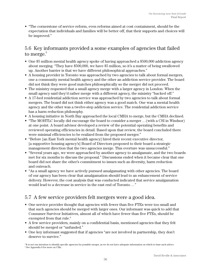• "The cornerstone of service reform, even reforms aimed at cost containment, should be the expectation that individuals and families will be better off, that their supports and choices will be improved."

## 5.6 Key informants provided a some examples of agencies that failed to merge.<sup>5</sup>

- One \$5 million mental health agency spoke of having approached a \$500,000 addiction agency about merging. "They have \$500,000, we have \$5 million, so it's a matter of being swallowed up. Another barrier is that we have different philosophical approaches."
- A housing provider in Toronto was approached by two agencies to talk about formal mergers, one a community mental health agency and the other an addiction service provider. The board did not think they were good matches philosophically so the merger did not proceed.
- The ministry requested that a small agency merge with a larger agency in London. When the small agency said they'd rather merge with a different agency, the ministry "backed off."
- A 17-bed residential addiction service was approached by two agencies to talk about formal mergers. The board did not think either agency was a good match. One was a mental health agency and the other was a twelve-step addiction service. The residential addiction service has a harm reduction philosophy.
- A housing initiative in North Bay approached the local CMHA to merge, but the CMHA declined.
- "The MOHTLC locally did encourage the board to consider a merger . . . (with a CSI in Windsor) at one point. A board advisor developed a review of the potential operating benefits and reviewed operating efficiencies in detail. Based upon that review, the board concluded there were minimal efficiencies to be realized from the proposed merger."
- "Before [an East York mental health agency] hired their recent executive director, [a supportive housing agency's] Board of Directors proposed to their board a strategic management direction that the two agencies merge. This overture was unsuccessful."
- "Several years ago, we were approached by another agency to amalgamate, and the two boards met for six months to discuss the proposal." Discussions ended when it became clear that one board did not share the other's commitment to issues such as diversity, harm reduction and outreach.
- "As a small agency we have actively pursued amalgamating with other agencies. The board of our agency has been clear that amalgamation should lead to an enhancement of service delivery. However, the cost analysis that was conducted indicated that service amalgamation would lead to a decrease in service in the east end of Toronto . . . "

## 5.7 A few service providers felt mergers were a good idea.

- One service provider thought that agencies with fewer than five FTEs were too small and that such agencies should be merged with larger ones. Our informant was quick to add that Consumer Survivor Initiatives, almost all of which have fewer than five FTEs, should be exempted from that rule.<sup>6</sup>
- A few service providers, mainly on a confidential basis, mentioned agencies that they felt should be merged or "unfunded."
- One key informant suggested that if agencies "are not involved in partnership, they don't deserve to survive."

<sup>&</sup>lt;sup>5</sup>It is not our intention to identify specific agencies for possible merger, as we do not have adequate information on which to base such advice. 6 See Appendix 8 for more on CSIs.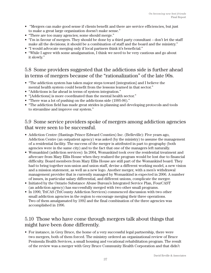- "Mergers can make good sense if clients benefit and there are service efficiencies, but just to make a great large organization doesn't make sense."
- "There are too many agencies; some should merge."
- "I'm in favour of mergers. They should be done by a third party consultant don't let the staff make all the decisions; it should be a combination of staff and the board and the ministry."
- "I would advocate merging only if local partners think it's beneficial."
- "While I agree with some amalgamation, I think we need to be very cautious and go about it slowly."

#### 5.8 Some providers suggested that the addictions side is further ahead in terms of mergers because of the "rationalization" of the late 90s.

- "The addiction system has taken major steps toward [integration] and I believe the mental health system could benefit from the lessons learned in that sector."
- "Addictions is far ahead in terms of system integration."
- "[Addictions] is more coordinated than the mental health sector."
- "There was a lot of pushing on the addictions side (1995-96)."
- "The addiction field has made great strides in planning and developing protocols and tools to streamline and improve our system."

#### 5.9 Some service providers spoke of mergers among addiction agencies that were seen to be successful.

- Addiction Centre (Hastings Prince Edward Counties) Inc. (Belleville): Five years ago, Addiction Centre (an outpatient agency) was asked (by the ministry) to assume the management of a residential facility. The success of the merger is attributed in part to geography (both agencies were in the same city) and to the fact that one of the managers left naturally.
- Womankind (addiction services): In 2004, Womankind took over the residential treatment and aftercare from Mary Ellis House when they realized the program would be lost due to financial difficulty. Board members from Mary Ellis House are still part of the Womankind board. They had to bring together non-union and union staff, devise a different working model, a new vision and a mission statement, as well as a new logo. Another merger, with a men's withdrawal management provider that is currently managed by Womankind is expected in 2006. A number of issues, in particular salary differential, and different unions, complicate the merger.
- Initiated by the Ontario Substance Abuse Bureau's Integrated Service Plan, FourCAST (an addiction agency) has successfully merged with two other small programs.
- In 1990, TriCAS (TriCounty Addiction Services) commenced discussion with two other small addiction agencies in the region to encourage merging their three operations. Two of them amalgamated by 1992 and the final combination of the three agencies was accomplished in 1996.

### 5.10 Those who have come through mergers talk about things that might have been done differently.

• For instance, in Grey Bruce, the home of a very successful legal partnership, there were two mergers, both of them forced. The ministry ordered an organizational review of Bruce Peninsula Health Services, a small housing and vocational rehabilitation program. The result of the review was a merger with Grey Bruce Community Health Corporation and that didn't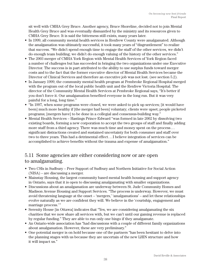sit well with CMHA Grey Bruce. Another agency, Bruce Shoreline, decided not to join Mental Health Grey Bruce and was eventually dismantled by the ministry and its resources given to CMHA Grey Bruce. It is said the bitterness still exists, many years later.

- In 1999, all community mental health services in Renfrew County were amalgamated. Although the amalgamation was ultimately successful, it took many years of "disgruntlement" to realize that success. "We didn't spend enough time to engage the staff of the other services, we didn't do enough team building; we didn't do enough valuing of the history of the other services."
- The 2003 merger of CMHA York Region with Mental Health Services of York Region faced a number of challenges but has succeeded in bringing the two organizations under one Executive Director. The success is in part attributed to the ability to use surplus funds toward merger costs and to the fact that the former executive director of Mental Health Services became the Director of Clinical Services and therefore an executive job was not lost. (see section 5.2).
- In January 1999, the community mental health program at Pembroke Regional Hospital merged with the program out of the local public health unit and the Renfrew Victoria Hospital. The director of the Community Mental Health Services at Pembroke Regional says, "It's better if you don't force it. Our amalgamation benefited everyone in the long run. But it was very painful for a long, long time."
- "In 1997, when some programs were closed, we were asked to pick up services; it would have been] much more healthy if [the merger had been] voluntary; clients were upset; people picketed programs; [mergers have] to be done in a collegial and consensus-building way."
- Mental Health Services Hastings Prince Edward "was formed in late 2002 by dissolving two existing boards, forming a new corporation to accept the two groups of staff and finally adding more staff from a third agency. There was much time and money spent on the process . . . significant distractions created and sustained uncertainty for both consumer and staff over two to three years. This had a detrimental effect . . . I believe integration of services can be accomplished to achieve benefits without the trauma and expense of amalgamation."

### 5.11 Some agencies are either considering now or are open to amalgamating.

- Two CSIs in Sudbury Peer Support of Sudbury and Northern Initiative for Social Action (NISA) – are discussing a merger.
- Mainstay Housing, the largest community based mental health housing and support agency in Ontario, says that it is open to discussing amalgamating with smaller organizations.
- Discussions about an amalgamation are underway between St. Jude Community Homes and Madison Avenue Housing and Support Services. "The process is underway. However, we must avoid threatening language at the onset – 'mergers,' 'amalgamations' – and let these relationships evolve naturally as we are confident they will. We believe in the 'courtship, engagement and marriage process.'"
- Serenity House [in Ottawa] indicates that "Yes, we are considering amalgamating the six charities that we now share all services with, but we can't until our gaming revenue is replaced by regular funding." They are able to run only one bingo if they amalgamate.
- An Ontario-wide association has "had discussions with a couple of different family organizations about amalgamation. However, these are very preliminary."
- One potential merger is on hold because one of the partners "has been hesitant to delve into the planning stages with us because they are uncertain of the new LHIN structure and how it will impact us."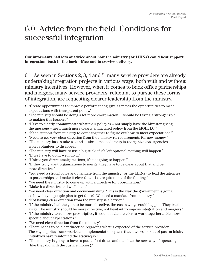## 6.0 Advice from the field: Conditions for successful integration

**Our informants had lots of advice about how the ministry (or LHINs) could best support integration, both in the back office and in service delivery.**

6.1 As seen in Sections 2, 3, 4 and 5, many service providers are already undertaking integration projects in various ways, both with and without ministry incentives. However, when it comes to back office partnerships and mergers, many service providers, reluctant to pursue these forms of integration, are requesting clearer leadership from the ministry.

- "Create opportunities to improve performances; give agencies the opportunities to meet expectations with transparent policy."
- "The ministry should be doing a lot more coordination... should be taking a stronger role to making this happen."
- "Have to clearly communicate what their policy is not simply have the Minister giving the message – need much more clearly enunciated policy from the MOHTLC."
- "Need support from ministry to come together to figure out how to meet expectations."
- "Need to get very clear direction from the ministry re: requirements for new money."
- "The ministry has to take a stand take some leadership in reorganization. Agencies won't volunteer to disappear."
- "The ministry will have to use a big stick; if it's left optional, nothing will happen."
- "If we have to do it, we'll do it."
- "Unless you direct amalgamations, it's not going to happen."
- "If they truly want organizations to merge, they have to be clear about that and be more directive."
- "You need a strong voice and mandate from the ministry (or the LHINs) to lead the agencies to partnerships and make it clear that it is a requirement of the funding."
- "We need the ministry to come up with a directive for coordination."
- "Make it a directive and we'll do it."
- "We need clear direction and decision-making. 'This is the way the government is going, so how do you people plan to get there?' We need a mandate from ministry."
- "Not having clear direction from the ministry is a barrier."
- "If the ministry had the guts to be more directive, the cost-savings could happen. They back away. The ministry should be more directive, not hesitant to impose integration and mergers."
- "If the ministry were more proscriptive, it would make it easier to work together... Be more specific about expectations."
- "We need clear direction from the ministry"
- "There needs to be clear direction regarding what is expected of the service provider. The vague policy frameworks and implementations plans that have come out of past m inistry initiatives have reinforced the status-quo."
- "The ministry is going to have to put its foot down and mandate the new way of operating (like they did with the Justice money)."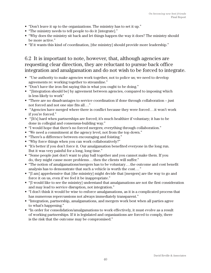- "Don't leave it up to the organizations. The ministry has to set it up."
- "The ministry needs to tell people to do it [integrate]."
- "Why does the ministry sit back and let things happen the way it does? The ministry should be more active."
- "If it wants this kind of coordination, [the ministry] should provide more leadership."

### 6.2 It is important to note, however, that, although agencies are requesting clear direction, they are reluctant to pursue back office integration and amalgamation and do not wish to be forced to integrate.

- "Use authority to make agencies work together, not to police us; we need to develop agreements re: working together to streamline."
- "Don't have the iron fist saying this is what you ought to be doing."
- "[Integration should be] by agreement between agencies, compared to imposing which is less likely to work"
- "There are no disadvantages to service coordination if done through collaboration just not forced and not one size fits all . . ."
- "Agencies have merged where there is conflict because they were forced . . . it won't work if you're forced."
- "[It's] hard when partnerships are forced; it's much healthier if voluntary; it has to be done in collegial and consensus-building way."
- "I would hope that there's no forced mergers; everything through collaboration."
- "We need a commitment at the agency level, not from the top down."
- "There's a difference between encouraging and foisting."
- "Why force things when you can work collaboratively?"
- "It's better if you don't force it. Our amalgamation benefited everyone in the long run. But it was very painful for a long, long time."
- "Some people just don't want to play ball together and you cannot make them. If you do, they might cause more problems . . . then the clients will suffer."
- "The notion of amalgamations/mergers has to be voluntary . . . the outcome and cost benefit analysis has to demonstrate that such a vehicle is worth the cost . . . "
- "[I am] apprehensive that [the ministry] might decide that [mergers] are the way to go and force it on us, even if we feel it be inappropriate."
- "[I would like to see the ministry] understand that amalgamations are not the first consideration and may lead to service disruption, not integration."
- "I don't think it would be wise to enforce amalgamations, as it is a complicated process that has numerous repercussions not always immediately transparent."
- "Integration, partnership, amalgamations, and mergers work best when all parties agree to what's happening."
- "In order for consolidation/amalgamations to work effectively, it must evolve as a result of working partnerships. If it is legislated and organizations are forced to comply, there is the risk that the outcome may be compromised."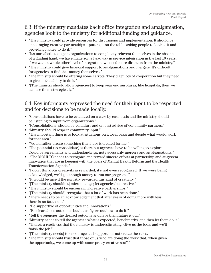## 6.3 If the ministry mandates back office integration and amalgamation, agencies look to the ministry for additional funding and guidance.

- "The ministry could provide resources for discussions and implementation. It should be encouraging creative partnerships – putting it on the table, asking people to look at it and providing money to do it."
- "It's unrealistic to expect organizations to completely reinvent themselves in the absence of a guiding hand; we have made some headway in service integration in the last 10 years; if we want a whole other level of integration, we need more direction from the ministry."
- "The ministry could give financial support to amalgamations and mergers. It's difficult for agencies to find that money themselves."
- "The ministry should be offering some carrots. They'd get lots of cooperation but they need to give us the ability to do it."
- "[The ministry should allow agencies] to keep year end surpluses, like hospitals, then we can use them strategically."

## 6.4 Key informants expressed the need for their input to be respected and for decisions to be made locally.

- "Consolidations have to be evaluated on a case by case basis and the ministry should be listening to input from organizations."
- "[Consolidations] should be voluntary and on best advice of community partners."
- "Ministry should respect community input."
- "The important thing is to look at situations on a local basis and decide what would work for that area."
- "Would rather create something than have it created for me."
- "The potential (to consolidate) is there but agencies have to be willing to explore. Could be agreements and understandings, not necessarily mergers and amalgamations."
- "The MOHLTC needs to recognize and reward sincere efforts at partnership and at system innovation that are in keeping with the goals of Mental Health Reform and the Health Transformation Agenda."
- "I don't think our creativity is rewarded; it's not even recognized. If we were being acknowledged, we'd get enough money to run our programs."
- "It would be nice if the ministry rewarded this kind of creativity."
- "[The ministry shouldn't] micromanage; let agencies be creative."
- "The ministry should be encouraging creative partnerships."
- "[The ministry should] recognize that a lot of work has been done."
- "There needs to be an acknowledgement that after years of doing more with less, there is no fat to cut."
- "Be supportive of opportunities and innovations."
- "Be clear about outcomes but let us figure out how to do it."
- "Tell the agencies the desired outcome and have them figure it out."
- "Ministry needs to tell the agencies what is expected, benchmarks, and then let them do it."
- "There's a readiness that the ministry is underestimating. Give us the tools and we'll finish the job."
- "[The ministry needs] to encourage and support but not create the rules.
- "The ministry should trust that those of us who are doing the work that, when given the opportunity, we come up with some pretty creative stuff."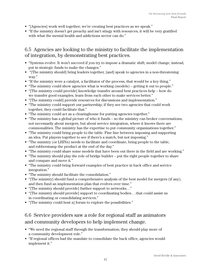- "[Agencies] work well together; we're creating best practices as we speak."
- "If the ministry doesn't get preachy and isn't stingy with resources, it will be very gratified with what the mental health and addictions sector can do."

### 6.5 Agencies are looking to the ministry to facilitate the implementation of integration, by demonstrating best practices.

- "Systems evolve. It won't succeed if you try to impose a dramatic shift; model change, instead, put in strategic funds to make the changes."
- "[The ministry should] bring leaders together, [and] speak to agencies in a non-threatening way."
- "If the ministry were a catalyst, a facilitator of the process, that would be a key thing."
- "The ministry could show agencies what is working (models) getting it out to people."
- "[The ministry could provide] knowledge transfer around best practices help how do we transfer good examples, learn from each other to make services better."
- "[The ministry could] provide resources for discussions and implementation."
- "The ministry could support our partnership; if they see two agencies that could work together, they could facilitate that."
- "The ministry could act as a clearinghouse for putting agencies together."
- "The ministry has a global picture of who it funds so the ministry can broker conversations, not necessarily about mergers, but about service integration, where it knows there are commonalities. The ministry has the expertise to put community organizations together."
- "The ministry could bring people to the table. Fine line between imposing and supporting an idea. Put players together to see if there's a match, but not imposing."
- "The ministry (or LHINs) needs to facilitate and coordinate, bring people to the table, and rubberstamp the product at the end of the day."
- "The ministry could share some models that have been out there in the field and are working."
- "The ministry should play the role of bridge builder put the right people together to share and compare and move it."
- "The ministry could bring forward examples of best practice in back office and service integration."
- "The ministry should facilitate the consolidation."
- "[The ministry] should fund a comprehensive analysis of the best model for mergers (if any), and then fund an implementation plan that evolves over time."
- "[The ministry should provide] further support to networks…"
- "[The ministry should provide] support to coordinating bodies . . . that could assist us in coordinating or consolidating services."
- "[The ministry could host a] forum to explore the possibilities."

## 6.6 Service providers saw a role for regional staff as animators and community developers to help implement change.

- "We need the regional staff through the transformation; they should play more of a community development role."
- "If regional offices had the mandate to consolidate the back office, agencies would implement it."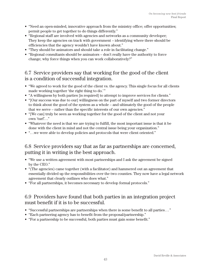- "Need an open-minded, innovative approach from the ministry office; offer opportunities; permit people to get together to do things differently."
- "Regional staff are involved with agencies and networks as a community developer; They keep the agencies on track with government – identifying where there should be efficiencies that the agency wouldn't have known about."
- "They should be animators and should take a role in facilitating change."
- "Regional consultants should be animators don't really have the authority to force change; why force things when you can work collaboratively?"

### 6.7 Service providers say that working for the good of the client is a condition of successful integration.

- "We agreed to work for the good of the client vs. the agency. This single focus for all clients made working together 'the right thing to do.'"
- "A willingness by both parties [is required] to attempt to improve services for clients."
- "[Our success was due to our] willingness on the part of myself and two former directors to think about the good of the system as a whole – and ultimately the good of the people that we serve – rather than the specific interests of our own agencies."
- "[We can] truly be seen as working together for the good of the client and not your own 'turf'. . ."
- "Whatever the need is that we are trying to fulfill, the most important issue is that it be done with the client in mind and not the central issue being your organization."
- ". . .we were able to develop policies and protocols that were client oriented."

#### 6.8 Service providers say that as far as partnerships are concerned, putting it in writing is the best approach.

- "We use a written agreement with most partnerships and I ask the agreement be signed by the CEO."
- "(The agencies) came together (with a facilitator) and hammered out an agreement that essentially divided up the responsibilities over the two counties. They now have a legal network agreement that clearly outlines who does what."
- "For all partnerships, it becomes necessary to develop formal protocols."

#### 6.9 Providers have found that both parties in an integration project must benefit if it is to be successful.

- "Successful partnerships are partnerships when there is some benefit to all parties . . . "
- "Each partnering agency has to benefit from the proposal/partnership."
- "For a partnership to be successful, both parties must gain some benefit."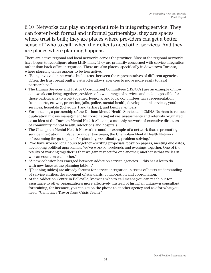## 6.10 Networks can play an important role in integrating service. They can foster both formal and informal partnerships; they are spaces where trust is built; they are places where providers can get a better sense of "who to call" when their clients need other services. And they are places where planning happens.

There are active regional and local networks across the province. Most of the regional networks have begun to reconfigure along LHIN lines. They are primarily concerned with service integration rather than back office integration. There are also places, specifically in downtown Toronto, where planning tables appear to be less active.

- "Being involved in networks builds trust between the representatives of different agencies. Often, the trust being built in networks allows agencies to move more easily to legal partnerships."
- The Human Services and Justice Coordinating Committees (HSJCCs) are an example of how a network can bring together providers of a wide range of services and make it possible for those participants to work together. Regional and local committees have representation from courts, crowns, probation, jails, police, mental health, developmental services, youth services, hospitals (Schedule 1 and tertiary), and family members.
- For instance, a partnership of the Durham Mental Health Service and CMHA Durham to reduce duplication in case management by coordinating intake, assessments and referrals originated as an idea at the Durham Mental Health Alliance, a monthly network of executive directors of community mental health, addictions and hospitals.
- The Champlain Mental Health Network is another example of a network that is promoting service integration. In place for under two years, the Champlain Mental Health Network is "becoming the go-to place for planning, coordinating, problem solving."
- "We have worked long hours together writing proposals, position papers, meeting due dates, developing political approaches. We've worked weekends and evenings together. One of the results of working together is that we gain respect for one another; another is that we learn we can count on each other."
- "A new cohesion has emerged between addiction service agencies . . . this has a lot to do with new faces at the planning table…"
- "[Planning tables] are already forums for service integration in terms of better understanding of service entities, development of standards, collaboration and coordination.
- At the Addiction Centre in Belleville, knowing who to call means you can reach out for assistance to other organizations more effectively. Instead of hiring an unknown consultant for training, for instance, you can get on the phone to another agency and ask for what you need: "Can I have Trevor from Crisis Team?"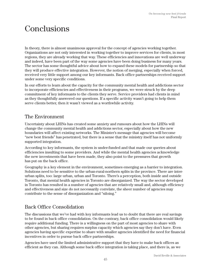## Conclusions

In theory, there is almost unanimous approval for the concept of agencies working together. Organizations are not only interested in working together to improve services for clients, in most regions, they are already working that way. These efficiencies and innovations are well underway and indeed, have been part of the way some agencies have been doing business for many years. The sector has some thoughtful advice about how to expand these models for partnership so that they will produce effective integration. However, the notion of merging, especially when forced, received very little support among our key informants. Back office partnerships received support under some very specific conditions.

In our efforts to learn about the capacity for the community mental health and addictions sector to incorporate efficiencies and effectiveness in their programs, we were struck by the deep commitment of key informants to the clients they serve. Service providers had clients in mind as they thoughtfully answered our questions. If a specific activity wasn't going to help them serve clients better, then it wasn't viewed as a worthwhile activity.

#### The Environment

Uncertainty about LHINs has created some anxiety and rumours about how the LHINs will change the community mental health and addictions sector, especially about how the new boundaries will affect existing networks. The Minister's message that agencies will become "new best friends" has penetrated, but there is a sense that the ministry itself has not uniformly supported integration.

According to key informants, the system is under-funded and that made our queries about efficiencies insulting to some providers. And while the mental health agencies acknowledge the new investments that have been made, they also point to the pressures that growth has put on the back office.

Geography is a key element in the environment, sometimes emerging as a barrier to integration. Solutions need to be sensitive to the urban-rural-northern splits in the province. There are interurban splits, too: large urban, urban and Toronto. There's a perception, both inside and outside Toronto, that mental health agencies in Toronto are disorganized. The way the sector developed in Toronto has resulted in a number of agencies that are relatively small and, although efficiency and effectiveness and size do not necessarily correlate, the sheer number of agencies may contribute to the sense of disorganization and "siloing."

## Back Office Consolidation

The discussions that we've had with key informants lead us to doubt that there are real savings to be found in back office consolidation. On the contrary, back office consolidation would likely require additional funding. There is a willingness on the part of most agencies to share with other agencies, but sharing requires surplus capacity which agencies say they don't have. Even agencies having specific expertise to share with smaller agencies identified the need for financial incentives in order to pursue back office partnerships.

Agencies have used the limited administrative support that they have to make back offices as efficient as they can. Although some back office integration is taking place, and there is, as we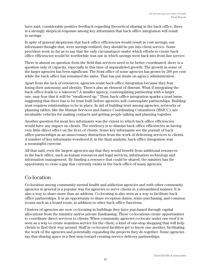have said, considerable positive feedback regarding theoretical sharing in the back office, there is a strongly skeptical response among key informants that back office integration will result in savings.

In spite of general skepticism that back office efficiencies would result in cost savings, our informants thought that, were savings realized, they should be put into client service. Some providers went so far as to say that the only circumstance under which efforts to create back office efficiencies would be worthwhile was one in which savings went back into front-line service.

There is almost no question from the field that services need to be better coordinated, there is a question only of capacity, especially in this time of unparalleled growth. The growth in some of the larger agencies has been significant. The front office of some agencies has grown by 200 per cent while the back office has remained the same. That has put strain on agency administration.

Apart from the lack of resources, agencies resist back office integration because they fear losing their autonomy and identity. There's also an element of distrust. What if integrating the back office leads to a takeover? A smaller agency, contemplating partnering with a larger one, may fear that it will be "swallowed up." Thus, back office integration sparks a trust issue, suggesting that there has to be trust built before agencies will contemplate partnerships. Building trust requires relationships to be in place. In aid of building trust among agencies, networks or planning tables, like the Human Services and Justice Coordinating Committees (HSJCC), are invaluable vehicles for making contacts and getting people talking and planning together.

Another question for most key informants was the extent to which back office efficiencies would have any impact on clients. The tendency is to dismiss back office efficiencies as having very little direct effect on the lives of clients. Some key informants see the pursuit of back office partnerships as an unnecessary distraction from the work of delivering services to clients. A number of key informants wondered if, in the final analysis, back office integration was a meaningful exercise.

All that said, even the largest agencies say that they would benefit from additional resources in the back office, such as human resources and legal services, information technology and information management. By funding a resource that could be shared, the ministry has the opportunity to close a gap that currently exists in the back office of many agencies.

### Co-location

Co-location among community mental health and addiction agencies and with other community agencies in general is a popular way for agencies to serve clients in a streamlined manner. It is also a way to share more than an address. Co-locating is also seen as a way to facilitate back office partnerships. It is an opportunity to share reception duties, some purchasing, and common rooms such as a board room, in addition to other back office functions.

Clusters of agencies are now co-locating in buildings they have purchased through capital allocations from the ministry and/or private fundraising. These co-locations create opportunities to coordinate direct services to clients. When community agencies co-locate under one roof it is seen as a way to create seamless service for the client, a kind of one-stop shopping that will help clients to find their way around. Staff in co-located facilities get to know one another, facilitating the work of the agencies and potentially expanding the projects they do together. Some agencies say that sharing space is a first step toward creating service delivery partnerships.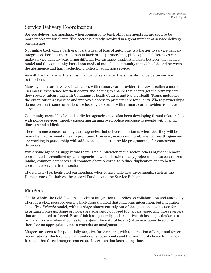## Service Delivery Coordination

Service delivery partnerships, when compared to back office partnerships, are seen to be more important for clients. The sector is already involved in a great number of service delivery partnerships.

Not unlike back office partnerships, the fear of loss of autonomy is a barrier to service delivery integration. Perhaps more so than in back office partnerships, philosophical differences can make service delivery partnering difficult. For instance, a split still exists between the medical model and the community-based non-medical model in community mental health, and between the abstinence and harm reduction models in addiction service.

As with back office partnerships, the goal of service partnerships should be better service to the client.

Many agencies are involved in alliances with primary care providers thereby creating a more "seamless" experience for their clients and helping to ensure that clients get the primary care they require. Integrating with Community Health Centres and Family Health Teams multiplies the organization's expertise and improves access to primary care for clients. Where partnerships do not yet exist, some providers are looking to partner with primary care providers to better serve clients.

Community mental health and addiction agencies have also been developing formal relationships with police services, thereby supporting an improved police response to people with mental illnesses and addictions.

There is some concern among those agencies that deliver addiction services that they will be overwhelmed by mental health programs. However, many community mental health agencies are working in partnership with addiction agencies to provide programming for concurrent disorders.

While some agencies suggest that there is no duplication in the sector, others argue for a more coordinated, streamlined system. Agencies have undertaken many projects, such as centralized intake, common databases and common client records, to reduce duplication and to better coordinate services in the sector.

The ministry has facilitated partnerships when it has made new investments, such as the Homelessness Initiatives, the Accord Funding and the Service Enhancements.

#### Mergers

On the whole, the field favours a model of integration that relies on collaboration and autonomy. There is a clear message coming back from the field that it favours integration; but integration à la a *Best Friends* model, with marriage almost entirely out of the question – at least so far as arranged ones go. Some providers are adamantly opposed to mergers, especially those mergers that are dictated or forced. Fear of job loss, generally and executive job loss in particular, is a primary concern when it comes to mergers. The natural leaving of an executive director is therefore an appropriate time to consider an amalgamation.

Mergers are seen to be potentially negative for the client, with the creation of larger and fewer organizations which reduce the number of access points and the amount of choice for clients. It is said that forced mergers can create bitterness that lasts a long time.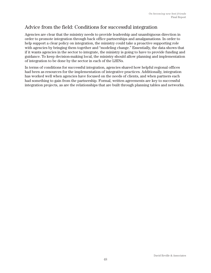## Advice from the field: Conditions for successful integration

Agencies are clear that the ministry needs to provide leadership and unambiguous direction in order to promote integration through back office partnerships and amalgamations. In order to help support a clear policy on integration, the ministry could take a proactive supporting role with agencies by bringing them together and "modeling change." Essentially, the data shows that if it wants agencies in the sector to integrate, the ministry is going to have to provide funding and guidance. To keep decision-making local, the ministry should allow planning and implementation of integration to be done by the sector in each of the LHINs.

In terms of conditions for successful integration, agencies shared how helpful regional offices had been as resources for the implementation of integrative practices. Additionally, integration has worked well when agencies have focused on the needs of clients, and when partners each had something to gain from the partnership. Formal, written agreements are key to successful integration projects, as are the relationships that are built through planning tables and networks.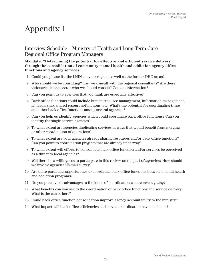## Interview Schedule – Ministry of Health and Long-Term Care Regional Office Program Managers

#### **Mandate: "Determining the potential for effective and efficient service delivery through the consolidation of community mental health and addiction agency office functions and agency services."**

- 1. Could you please list the LHINs in your region, as well as the former DHC areas?
- 2. Who should we be consulting? Can we consult with the regional consultants? Are there visionaries in the sector who we should consult? Contact information?
- 3. Can you point us to agencies that you think are especially effective?
- 4. Back office functions could include human resource management, information management, IT, leadership, shared resources/functions, etc. What's the potential for coordinating these and other back office functions among several agencies?
- 5. Can you help us identify agencies which could coordinate back office functions? Can you identify the single service agencies?
- 6. To what extent are agencies duplicating services in ways that would benefit from merging or other coordination of operations?
- 7. To what extent are your agencies already sharing resources and/or back office functions? Can you point to coordination projects that are already underway?
- 8. To what extent will efforts to consolidate back office function and/or services be perceived as a threat to local agencies?
- 9. Will there be a willingness to participate in this review on the part of agencies? How should we involve agencies? E-mail survey?
- 10. Are there particular opportunities to coordinate back office functions between mental health and addiction programs?
- 11. Do you perceive disadvantages to the kinds of coordination we are investigating?
- 12. What benefits can you see to the coordination of back office functions and service delivery? What is the carrot here?
- 13. Could back office function consolidation improve agency accountability to the ministry?
- 14. What impact will back office efficiencies and service coordination have on clients?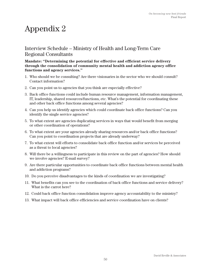#### Interview Schedule – Ministry of Health and Long-Term Care Regional Consultants

#### **Mandate: "Determining the potential for effective and efficient service delivery through the consolidation of community mental health and addiction agency office functions and agency services."**

- 1. Who should we be consulting? Are there visionaries in the sector who we should consult? Contact information?
- 2. Can you point us to agencies that you think are especially effective?
- 3. Back office functions could include human resource management, information management, IT, leadership, shared resources/functions, etc. What's the potential for coordinating these and other back office functions among several agencies?
- 4. Can you help us identify agencies which could coordinate back office functions? Can you identify the single service agencies?
- 5. To what extent are agencies duplicating services in ways that would benefit from merging or other coordination of operations?
- 6. To what extent are your agencies already sharing resources and/or back office functions? Can you point to coordination projects that are already underway?
- 7. To what extent will efforts to consolidate back office function and/or services be perceived as a threat to local agencies?
- 8. Will there be a willingness to participate in this review on the part of agencies? How should we involve agencies? E-mail survey?
- 9. Are there particular opportunities to coordinate back office functions between mental health and addiction programs?
- 10. Do you perceive disadvantages to the kinds of coordination we are investigating?
- 11. What benefits can you see to the coordination of back office functions and service delivery? What is the carrot here?
- 12. Could back office function consolidation improve agency accountability to the ministry?
- 13. What impact will back office efficiencies and service coordination have on clients?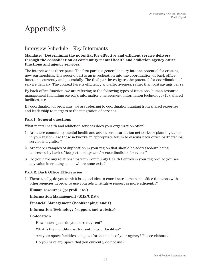#### Interview Schedule – Key Informants

#### **Mandate: "Determining the potential for effective and efficient service delivery through the consolidation of community mental health and addiction agency office functions and agency services."**

The interview has three parts. The first part is a general inquiry into the potential for creating new partnerships. The second part is an investigation into the coordination of back office functions, currently and potentially. The final part investigates the potential for coordination of service delivery. The context here is efficiency and effectiveness, rather than cost savings per se.

By back office function, we are referring to the following types of functions: human resource management (including payroll), information management, information technology (IT), shared facilities, etc.

By coordination of programs, we are referring to coordination ranging from shared expertise and leadership to mergers to the integration of services.

#### **Part I: General questions**

What mental health and addiction services does your organization offer?

- 1. Are there community mental health and addictions information networks or planning tables in your region? Are these networks an appropriate forum to discuss back office partnerships/ service integration?
- 2. Are there examples of duplication in your region that should be addressed/are being addressed by back office partnerships and/or coordination of services?
- 3. Do you have any relationships with Community Health Centres in your region? Do you see any value in creating some, where none exist?

#### **Part 2: Back Office Efficiencies**

1. Theoretically, do you think it is a good idea to coordinate some back office functions with other agencies in order to use your administrative resources more efficiently?

#### **Human resources (payroll, etc.)**

 **Information Management (MIS/CDS):** 

 **Financial Management (bookkeeping; audit)**

#### **Information Technology (support and website)**

#### **Co-location**

How much space do you currently rent?

What is the monthly cost for renting your facilities?

Are your space facilities adequate for the needs of your agency? Please elaborate.

Do you have any space that you currently do not use?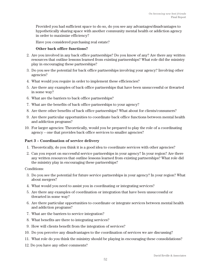Provided you had sufficient space to do so, do you see any advantages/disadvantages to hypothetically sharing space with another community mental health or addiction agency in order to maximize efficiency?

Have you considered purchasing real estate?

#### **Other back office functions?**

- 2. Are you involved in any back office partnerships? Do you know of any? Are there any written resources that outline lessons learned from existing partnerships? What role did the ministry play in encouraging these partnerships?
- 3. Do you see the potential for back office partnerships involving your agency? Involving other agencies?
- 4. What would you require in order to implement these efficiencies?
- 5. Are there any examples of back office partnerships that have been unsuccessful or thwarted in some way?
- 6. What are the barriers to back office partnerships?
- 7. What are the benefits of back office partnerships to your agency?
- 8. Are there other benefits of back office partnerships? What about for clients/consumers?
- 9. Are there particular opportunities to coordinate back office functions between mental health and addiction programs?
- 10. For larger agencies: Theoretically, would you be prepared to play the role of a coordinating agency – one that provides back office services to smaller agencies?

#### **Part 3 – Coordination of service delivery**

- 1. Theoretically, do you think it is a good idea to coordinate services with other agencies?
- 2. Can you report on successful service partnerships in your agency? In your region? Are there any written resources that outline lessons learned from existing partnerships? What role did the ministry play in encouraging these partnerships?

Conditions:

- 3. Do you see the potential for future service partnerships in your agency? In your region? What about mergers?
- 4. What would you need to assist you in coordinating or integrating services?
- 5. Are there any examples of coordination or integration that have been unsuccessful or thwarted in some way?
- 6. Are there particular opportunities to coordinate or integrate services between mental health and addiction programs?
- 7. What are the barriers to service integration?
- 8. What benefits are there to integrating services?
- 9. How will clients benefit from the integration of services?
- 10. Do you perceive any disadvantages to the coordination of services we are discussing?
- 11. What role do you think the ministry should be playing in encouraging these consolidations?
- 12. Do you have any other comments?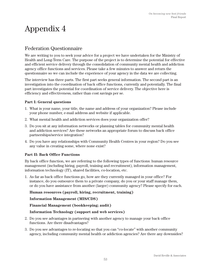## Federation Questionnaire

We are writing to you to seek your advice for a project we have undertaken for the Ministry of Health and Long-Term Care. The purpose of the project is to determine the potential for effective and efficient service delivery through the consolidation of community mental health and addiction agency office functions and services. Please take a few minutes to answer and return the questionnaire so we can include the experience of your agency in the data we are collecting.

The interview has three parts. The first part seeks general information. The second part is an investigation into the coordination of back office functions, currently and potentially. The final part investigates the potential for coordination of service delivery. The objective here is efficiency and effectiveness, rather than cost savings per se.

#### **Part I: General questions**

- 1. What is your name, your title, the name and address of your organization? Please include your phone number, e-mail address and website if applicable.
- 2. What mental health and addiction services does your organization offer?
- 3. Do you sit at any information networks or planning tables for community mental health and addiction services? Are these networks an appropriate forum to discuss back office partnerships/service integration?
- 4. Do you have any relationships with Community Health Centres in your region? Do you see any value in creating some, where none exist?

#### **Part II: Back Office Functions**

By back office function, we are referring to the following types of functions: human resource management (including hiring, payroll, training and recruitment), information management, information technology (IT), shared facilities, co-location, etc.

1. As far as back office functions go, how are they currently managed in your office? For instance, do you outsource them to a private company, do you or your staff manage them, or do you have assistance from another (larger) community agency? Please specify for each.

#### **Human resources (payroll, hiring, recruitment, training)**

#### **Information Management (MIS/CDS)**

#### **Financial Management (bookkeeping; audit)**

#### **Information Technology (support and web services)**

- 2. Do you see advantages in partnering with another agency to manage your back office functions. Are there disadvantages?
- 3. Do you see advantages to re-locating so that you can "co-locate" with another community agency, including community mental health or addiction agencies? Are there any downsides?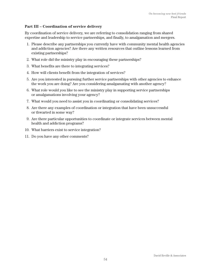#### **Part III – Coordination of service delivery**

By coordination of service delivery, we are referring to consolidation ranging from shared expertise and leadership to service partnerships, and finally, to amalgamation and mergers.

- 1. Please describe any partnerships you currently have with community mental health agencies and addiction agencies? Are there any written resources that outline lessons learned from existing partnerships?
- 2. What role did the ministry play in encouraging these partnerships?
- 3. What benefits are there to integrating services?
- 4. How will clients benefit from the integration of services?
- 5. Are you interested in pursuing further service partnerships with other agencies to enhance the work you are doing? Are you considering amalgamating with another agency?
- 6. What role would you like to see the ministry play in supporting service partnerships or amalgamations involving your agency?
- 7. What would you need to assist you in coordinating or consolidating services?
- 8. Are there any examples of coordination or integration that have been unsuccessful or thwarted in some way?
- 9. Are there particular opportunities to coordinate or integrate services between mental health and addiction programs?
- 10. What barriers exist to service integration?
- 11. Do you have any other comments?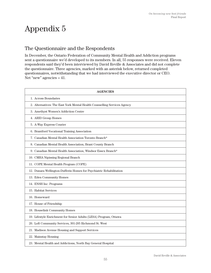## The Questionnaire and the Respondents

In December, the Ontario Federation of Community Mental Health and Addiction programs sent a questionnaire we'd developed to its members. In all, 55 responses were received. Eleven respondents said they'd been interviewed by David Reville & Associates and did not complete the questionnaire. Three agencies, marked with an asterisk below, returned completed questionnaires, notwithstanding that we had interviewed the executive director or CEO. Net "new" agencies = 41.

| <b>AGENCIES</b>                                                          |
|--------------------------------------------------------------------------|
| 1. Across Boundaries                                                     |
| 2. Alternatives: The East York Mental Health Counselling Services Agency |
| 3. Amethyst Women's Addiction Centre                                     |
| 4. ARID Group Homes                                                      |
| 5. A-Way Express Courier                                                 |
| 6. Brantford Vocational Training Association                             |
| 7. Canadian Mental Health Association Toronto Branch*                    |
| 8. Canadian Mental Health Association, Brant County Branch               |
| 9. Canadian Mental Health Association, Windsor Essex Branch*             |
| 10. CMHA Nipissing Regional Branch                                       |
| 11. COPE Mental Health Program (COPE)                                    |
| 12. Dunara Wellington-Dufferin Homes for Psychiatric Rehabilitation      |
| 13. Eden Community Homes                                                 |
| 14. ENSH Inc. Programs                                                   |
| 15. Habitat Services                                                     |
| 16. Homeward                                                             |
| 17. House of Friendship                                                  |
| 18. Houselink Community Homes                                            |
| 19. Lifestyle Enrichment for Senior Adults (LESA) Program, Ottawa        |
| 20. Loft Community Services, 301-205 Richmond St. West                   |
| 21. Madison Avenue Housing and Support Services                          |
| 22. Mainstay Housing                                                     |
| 23. Mental Health and Addictions, North Bay General Hospital             |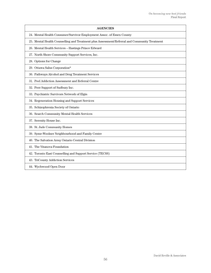| <b>AGENCIES</b>                                                                              |
|----------------------------------------------------------------------------------------------|
| 24. Mental Health Consumer/Survivor Employment Assoc. of Essex County                        |
| 25. Mental Health Counselling and Treatment plus Assessment/Referral and Community Treatment |
| 26. Mental Health Services - Hastings Prince Edward                                          |
| 27. North Shore Community Support Services, Inc.                                             |
| 28. Options for Change                                                                       |
| 29. Ottawa Salus Corporation*                                                                |
| 30. Pathways Alcohol and Drug Treatment Services                                             |
| 31. Peel Addiction Assessment and Referral Centre                                            |
| 32. Peer Support of Sudbury Inc.                                                             |
| 33. Psychiatric Survivors Network of Elgin                                                   |
| 34. Regeneration Housing and Support Services                                                |
| 35. Schizophrenia Society of Ontario                                                         |
| 36. Search Community Mental Health Services                                                  |
| 37. Serenity House Inc.                                                                      |
| 38. St. Jude Community Homes                                                                 |
| 39. Syme-Woolner Neighbourhood and Family Centre                                             |
| 40. The Salvation Army Ontario Central Division                                              |
| 41. The Vitanova Foundation                                                                  |
| 42. Toronto East Counselling and Support Service (TECSS)                                     |
| 43. TriCounty Addiction Services                                                             |
| 44. Wychwood Open Door                                                                       |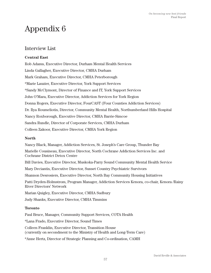#### Interview List

#### **Central East**

Rob Adams, Executive Director, Durham Mental Health Services Linda Gallagher, Executive Director, CMHA Durham Mark Graham, Executive Director, CMHA Peterborough \*Marie Lauzier, Executive Director, York Support Services \*Sandy McClymont, Director of Finance and IT, York Support Services John O'Mara, Executive Director, Addiction Services for York Region Donna Rogers, Executive Director, FourCAST (Four Counties Addiction Services) Dr. Ilya Roumeliotis, Director, Community Mental Health, Northumberland Hills Hospital Nancy Roxborough, Executive Director, CMHA Barrie-Simcoe Sandra Rundle, Director of Corporate Services, CMHA Durham Colleen Zakoor, Executive Director, CMHA York Region

#### **North**

Nancy Black, Manager, Addiction Services, St. Joseph's Care Group, Thunder Bay Marielle Cousineau, Executive Director, North Cochrane Addiction Services Inc. and Cochrane District Detox Centre Bill Davies, Executive Director, Muskoka-Parry Sound Community Mental Health Service Mary Deciantis, Executive Director, Sunset Country Psychiatric Survivors Shannon Desrosiers, Executive Director, North Bay Community Housing Initiatives Patti Dryden-Holmstrom, Program Manager, Addiction Services Kenora, co-chair, Kenora /Rainy River Directors' Network Marian Quigley, Executive Director, CMHA Sudbury Judy Shanks, Executive Director, CMHA Timmins

#### **Toronto**

Paul Bruce, Manager, Community Support Services, COTA Health

\*Lana Frado, Executive Director, Sound Times

Colleen Franklin, Executive Director, Transition House (currently on secondment to the Ministry of Health and Long-Term Care)

\*Anne Hertz, Director of Strategic Planning and Co-ordination, CAMH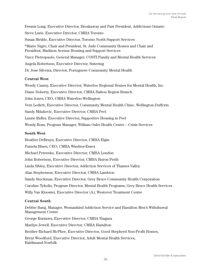Dennis Long, Executive Director, Breakaway and Past President, Addictions Ontario Steve Lurie, Executive Director, CMHA Toronto Susan Meikle, Executive Director, Toronto North Support Services \*Mario Nigro, Chair and President, St. Jude Community Homes and Chair and President, Madison Avenue Housing and Support Services Vince Pietropaolo, General Manager, COSTI Family and Mental Health Services Angela Robertson, Executive Director, Sistering Dr. Jose Silveira, Director, Portuguese Community Mental Health **Central West** Wendy Czarny, Executive Director, Waterloo Regional Homes for Mental Health, Inc.

Diane Doherty, Executive Director, CMHA Halton Region Branch

John Jones, CEO, CMHA Waterloo-Wellington

Vern Lediett, Executive Director, Community Mental Health Clinic, Wellington-Dufferin

Sandy Milakovic, Executive Director, CMHA Peel

Laurie Ridler, Executive Director, Supportive Housing in Peel

Wendy Ross, Program Manager, William Osler Health Centre – Crisis Services

#### **South West**

Heather DeBruyn, Executive Director, CMHA Elgin Pamela Hines, CEO, CMHA Windsor-Essex Michael Petrenko, Executive Director, CMHA London John Robertson, Executive Director, CMHA Huron Perth Linda Sibley, Executive Director, Addiction Services of Thames Valley Alan Stephenson, Executive Director, CMHA Lambton Sandy Stockman, Executive Director, Grey Bruce Community Health Corporation Caroline Tykoliz, Program Director, Mental Health Programs, Grey Bruce Health Services Willy Van Klooster, Executive Director (A), Westover Treatment Centre

#### **Central South**

Debbie Bang, Manager, Womankind Addiction Service and Hamilton Men's Withdrawal Management Centre George Kurzawa, Executive Director, CMHA Niagara Marilyn Jewell, Executive Director, CMHA Hamilton Brother Richard McPhee, Executive Director, Good Shepherd Non-Profit Homes, Brent Woodford, Executive Director, Adult Mental Health Services, Haldimand-Norfolk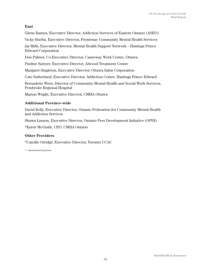#### **East**

Glenn Barnes, Executive Director, Addiction Services of Eastern Ontario (ASEO)

Vicky Huehn, Executive Director, Frontenac Community Mental Health Services

Jai Mills, Executive Director, Mental Health Support Network – Hastings Prince Edward Corporation

Don Palmer, Co-Executive Director, Causeway Work Centre, Ottawa

Pauline Sawyer, Executive Director, Alwood Treatment Centre

Margaret Singleton, Executive Director, Ottawa Salus Corporation

Cate Sutherland, Executive Director, Addiction Centre, Hastings Prince Edward

Bernadette Wren, Director of Community Mental Health and Social Work Services, Pembroke Regional Hospital

Marion Wright, Executive Director, CMHA Ottawa

#### **Additional Province-wide**

David Kelly, Executive Director, Ontario Federation for Community Mental Health and Addiction Services

Shawn Lauzon, Executive Director, Ontario Peer Development Initiative (OPDI)

\*Karen McGrath, CEO, CMHA Ontario

#### **Other Providers**

\*Camille Orridge, Executive Director, Toronto CCAC

\* – interviewed in person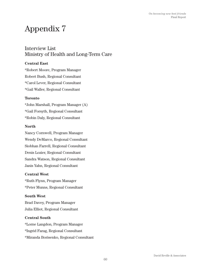#### Interview List Ministry of Health and Long-Term Care

#### **Central East**

\*Robert Moore, Program Manager Robert Bush, Regional Consultant \*Carol Lever, Regional Consultant \*Gail Waller, Regional Consultant

#### **Toronto**

\*John Marshall, Program Manager (A) \*Gail Forsyth, Regional Consultant \*Robin Daly, Regional Consultant

#### **North**

Nancy Cornwell, Program Manager Wendy DeMarco, Regional Consultant Siobhan Farrell, Regional Consultant Denis Lozier, Regional Consultant Sandra Watson, Regional Consultant Janis Yahn, Regional Consultant

#### **Central West**

\*Ruth Flynn, Program Manager \*Peter Munns, Regional Consultant

#### **South West**

Brad Davey, Program Manager Julia Elliot, Regional Consultant

#### **Central South**

\*Lorne Langdon, Program Manager \*Ingrid Farag, Regional Consultant \*Miranda Borisenko, Regional Consultant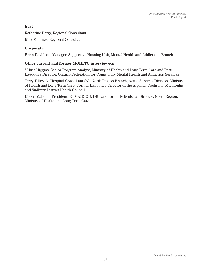#### **East**

Katherine Barry, Regional Consultant

Rick McInnes, Regional Consultant

#### **Corporate**

Brian Davidson, Manager, Supportive Housing Unit, Mental Health and Addictions Branch

#### **Other current and former MOHLTC interviewees**

\*Chris Higgins, Senior Program Analyst, Ministry of Health and Long-Term Care and Past Executive Director, Ontario Federation for Community Mental Health and Addiction Services

Terry Tilliczek, Hospital Consultant (A), North Region Branch, Acute Services Division, Ministry of Health and Long-Term Care; Former Executive Director of the Algoma, Cochrane, Manitoulin and Sudbury District Health Council

Eileen Mahood, President, EJ MAHOOD, INC. and formerly Regional Director, North Region, Ministry of Health and Long-Term Care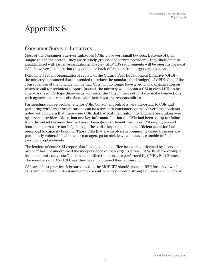## Consumer Survivor Initiatives

Most of the Consumer Survivor Initiatives (CSIs) have very small budgets. Because of their unique role in the sector – they are self-help groups, not service providers – they should not be amalgamated with larger organizations. The new MIS/CDS requirements will be onerous for most CSIs, however. It is here that they could use back office help from larger organizations.

Following a recent organizational review of the Ontario Peer Development Initiative (OPDI), the ministry announced that it intended to reduce the mandate (and budget) of OPDI. One of the consequences of that change will be that CSIs will no longer have a provincial organization on which to call for technical support. Instead, the ministry will appoint a CSI in each LHIN to be a network lead. Perhaps those leads will assist the CSIs in their networks to make connections with agencies that can assist them with their reporting responsibilities.

Partnerships can be problematic for CSIs. Consumer control is very important to CSIs and partnering with larger organizations can be a threat to consumer control. Several respondents noted with concern that there were CSIs that had lost their autonomy and had been taken over by service providers. More than one key informant felt that the CSIs had been set up for failure from the outset because they had never been given sufficient resources. CSI employees and board members were not helped to get the skills they needed and insufficient attention had been paid to capacity building. Those CSIs that are involved in community-based business are particularly vulnerable when their managers go on sick leave and they are unable to find (and pay) replacements.

The leaders of some CSIs report that having the back office functions performed by a service provider has not undermined the independence of their organizations. CAN-HELP, for example, has no administrative staff and its back office functions are performed by CMHA Fort Frances. The members of CAN-HELP say they have maintained their autonomy.

CSIs are a best practice. It is our view that the MOHLTC should issue an RFP for a review of CSIs with a view to understanding more about how to support a strong CSI presence in Ontario.